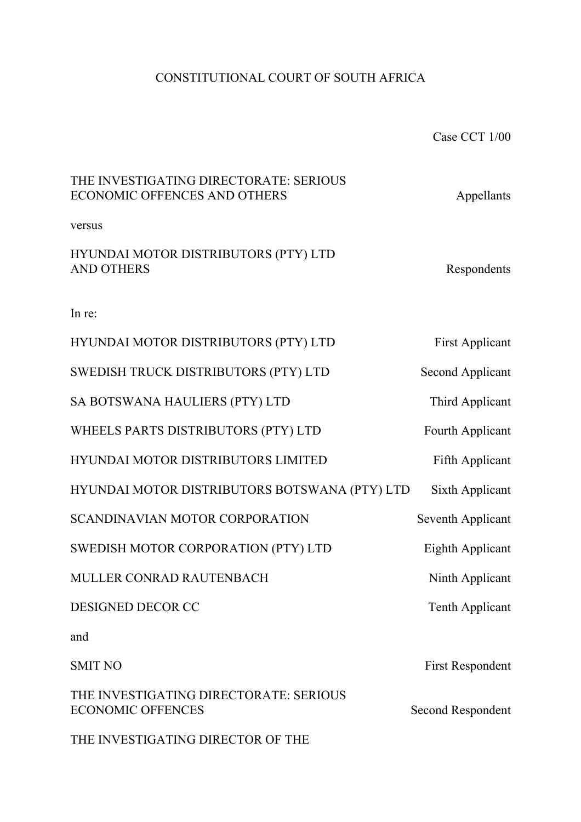# CONSTITUTIONAL COURT OF SOUTH AFRICA

Case CCT 1/00

| THE INVESTIGATING DIRECTORATE: SERIOUS<br>ECONOMIC OFFENCES AND OTHERS | Appellants              |
|------------------------------------------------------------------------|-------------------------|
| versus                                                                 |                         |
| HYUNDAI MOTOR DISTRIBUTORS (PTY) LTD<br><b>AND OTHERS</b>              | Respondents             |
| In re:                                                                 |                         |
| HYUNDAI MOTOR DISTRIBUTORS (PTY) LTD                                   | <b>First Applicant</b>  |
| SWEDISH TRUCK DISTRIBUTORS (PTY) LTD                                   | <b>Second Applicant</b> |
| SA BOTSWANA HAULIERS (PTY) LTD                                         | Third Applicant         |
| WHEELS PARTS DISTRIBUTORS (PTY) LTD                                    | Fourth Applicant        |
| HYUNDAI MOTOR DISTRIBUTORS LIMITED                                     | Fifth Applicant         |
| HYUNDAI MOTOR DISTRIBUTORS BOTSWANA (PTY) LTD                          | Sixth Applicant         |
| <b>SCANDINAVIAN MOTOR CORPORATION</b>                                  | Seventh Applicant       |
| SWEDISH MOTOR CORPORATION (PTY) LTD                                    | Eighth Applicant        |
| MULLER CONRAD RAUTENBACH                                               | Ninth Applicant         |
| DESIGNED DECOR CC                                                      | <b>Tenth Applicant</b>  |
| and                                                                    |                         |
| <b>SMIT NO</b>                                                         | First Respondent        |
| THE INVESTIGATING DIRECTORATE: SERIOUS<br><b>ECONOMIC OFFENCES</b>     | Second Respondent       |

THE INVESTIGATING DIRECTOR OF THE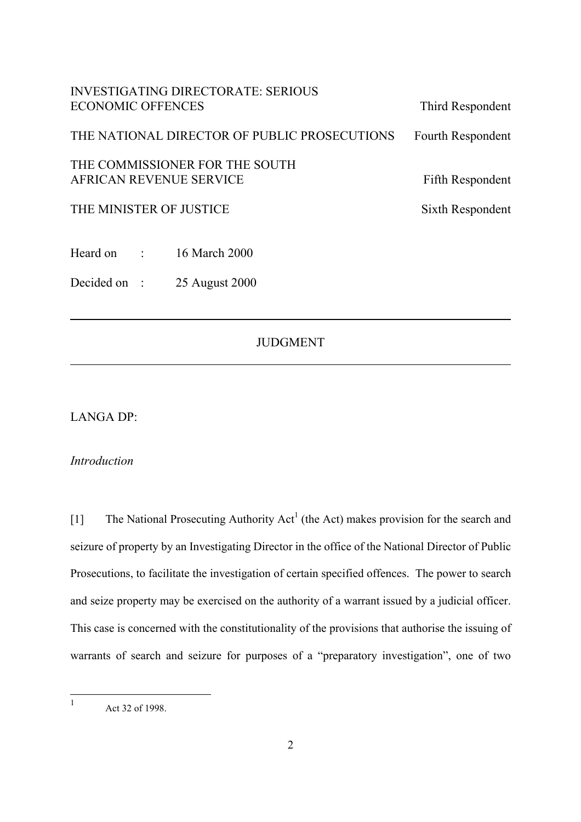| <b>INVESTIGATING DIRECTORATE: SERIOUS</b><br><b>ECONOMIC OFFENCES</b> | Third Respondent  |
|-----------------------------------------------------------------------|-------------------|
| THE NATIONAL DIRECTOR OF PUBLIC PROSECUTIONS                          | Fourth Respondent |
| THE COMMISSIONER FOR THE SOUTH<br>AFRICAN REVENUE SERVICE             | Fifth Respondent  |
| THE MINISTER OF JUSTICE                                               | Sixth Respondent  |
| Heard on :<br>16 March 2000                                           |                   |

## JUDGMENT

LANGA DP:

Decided on : 25 August 2000

*Introduction*

[[1](#page-1-0)] The National Prosecuting Authority  $Act^1$  (the Act) makes provision for the search and seizure of property by an Investigating Director in the office of the National Director of Public Prosecutions, to facilitate the investigation of certain specified offences. The power to search and seize property may be exercised on the authority of a warrant issued by a judicial officer. This case is concerned with the constitutionality of the provisions that authorise the issuing of warrants of search and seizure for purposes of a "preparatory investigation", one of two

<span id="page-1-0"></span> $\mathbf{1}$ Act 32 of 1998.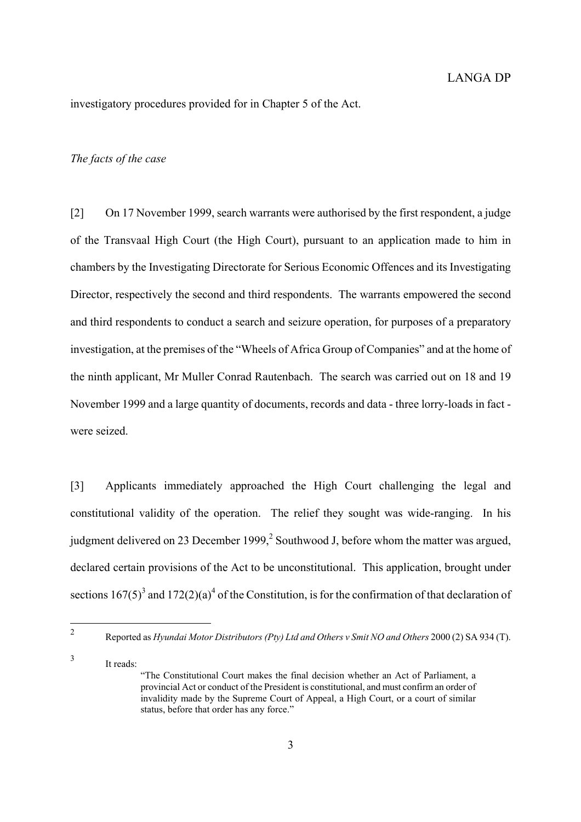investigatory procedures provided for in Chapter 5 of the Act.

#### *The facts of the case*

<span id="page-2-2"></span>[2] On 17 November 1999, search warrants were authorised by the first respondent, a judge of the Transvaal High Court (the High Court), pursuant to an application made to him in chambers by the Investigating Directorate for Serious Economic Offences and its Investigating Director, respectively the second and third respondents. The warrants empowered the second and third respondents to conduct a search and seizure operation, for purposes of a preparatory investigation, at the premises of the "Wheels of Africa Group of Companies" and at the home of the ninth applicant, Mr Muller Conrad Rautenbach. The search was carried out on 18 and 19 November 1999 and a large quantity of documents, records and data - three lorry-loads in fact were seized.

[3] Applicants immediately approached the High Court challenging the legal and constitutional validity of the operation. The relief they sought was wide-ranging. In his judgment delivered on 23 December 1999, $^2$  Southwood J, before whom the matter was argued, declared certain provisions of the Act to be unconstitutional. This application, brought under sections  $167(5)^3$  $167(5)^3$  and  $172(2)(a)^4$  $172(2)(a)^4$  of the Constitution, is for the confirmation of that declaration of

<span id="page-2-0"></span> $\overline{2}$ 

<span id="page-2-1"></span><sup>3</sup> It reads:

<sup>2</sup> Reported as *Hyundai Motor Distributors (Pty) Ltd and Others v Smit NO and Others* 2000 (2) SA 934 (T).

<sup>&</sup>quot;The Constitutional Court makes the final decision whether an Act of Parliament, a provincial Act or conduct of the President is constitutional, and must confirm an order of invalidity made by the Supreme Court of Appeal, a High Court, or a court of similar status, before that order has any force."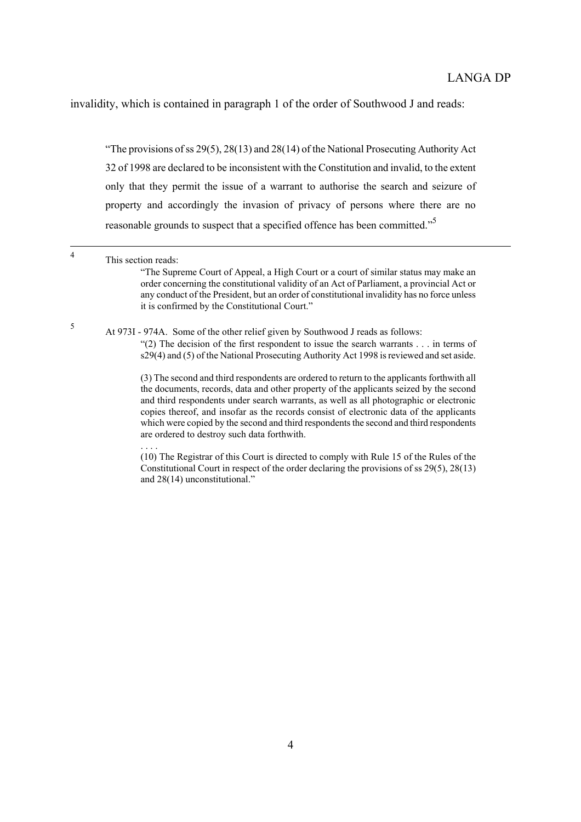invalidity, which is contained in paragraph 1 of the order of Southwood J and reads:

"The provisions of ss 29(5), 28(13) and 28(14) of the National Prosecuting Authority Act 32 of 1998 are declared to be inconsistent with the Constitution and invalid, to the extent only that they permit the issue of a warrant to authorise the search and seizure of property and accordingly the invasion of privacy of persons where there are no reasonable grounds to suspect that a specified offence has been committed."[5](#page-3-0)

order concerning the constitutional validity of an Act of Parliament, a provincial Act or any conduct of the President, but an order of constitutional invalidity has no force unless it is confirmed by the Constitutional Court."

<span id="page-3-0"></span><sup>5</sup> At 973I - 974A. Some of the other relief given by Southwood J reads as follows:

. . . .

"(2) The decision of the first respondent to issue the search warrants . . . in terms of s29(4) and (5) of the National Prosecuting Authority Act 1998 is reviewed and set aside.

(3) The second and third respondents are ordered to return to the applicants forthwith all the documents, records, data and other property of the applicants seized by the second and third respondents under search warrants, as well as all photographic or electronic copies thereof, and insofar as the records consist of electronic data of the applicants which were copied by the second and third respondents the second and third respondents are ordered to destroy such data forthwith.

(10) The Registrar of this Court is directed to comply with Rule 15 of the Rules of the Constitutional Court in respect of the order declaring the provisions of ss 29(5), 28(13) and 28(14) unconstitutional."

 <sup>4</sup> This section reads: "The Supreme Court of Appeal, a High Court or a court of similar status may make an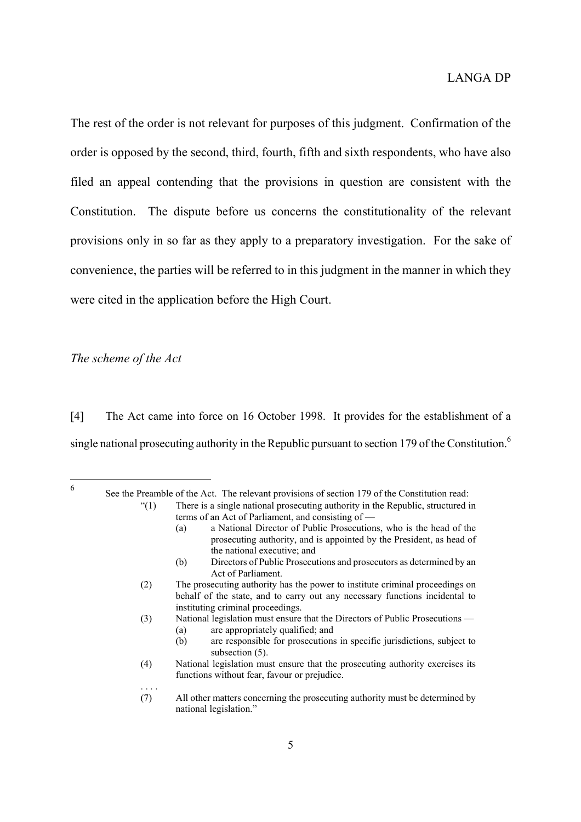The rest of the order is not relevant for purposes of this judgment. Confirmation of the order is opposed by the second, third, fourth, fifth and sixth respondents, who have also filed an appeal contending that the provisions in question are consistent with the Constitution. The dispute before us concerns the constitutionality of the relevant provisions only in so far as they apply to a preparatory investigation. For the sake of convenience, the parties will be referred to in this judgment in the manner in which they were cited in the application before the High Court.

### *The scheme of the Act*

. . . .

[4] The Act came into force on 16 October 1998. It provides for the establishment of a single national prosecuting authority in the Republic pursuant to section 179 of the Constitution.<sup>[6](#page-4-0)</sup>

<span id="page-4-0"></span>6 <sup>6</sup> See the Preamble of the Act. The relevant provisions of section 179 of the Constitution read: "(1) There is a single national prosecuting authority in the Republic, structured in

- terms of an Act of Parliament, and consisting of
	- (a) a National Director of Public Prosecutions, who is the head of the prosecuting authority, and is appointed by the President, as head of the national executive; and
	- (b) Directors of Public Prosecutions and prosecutors as determined by an Act of Parliament.
- (2) The prosecuting authority has the power to institute criminal proceedings on behalf of the state, and to carry out any necessary functions incidental to instituting criminal proceedings.
- (3) National legislation must ensure that the Directors of Public Prosecutions (a) are appropriately qualified; and
	- (b) are responsible for prosecutions in specific jurisdictions, subject to subsection  $(5)$ .
- (4) National legislation must ensure that the prosecuting authority exercises its functions without fear, favour or prejudice.
- (7) All other matters concerning the prosecuting authority must be determined by national legislation."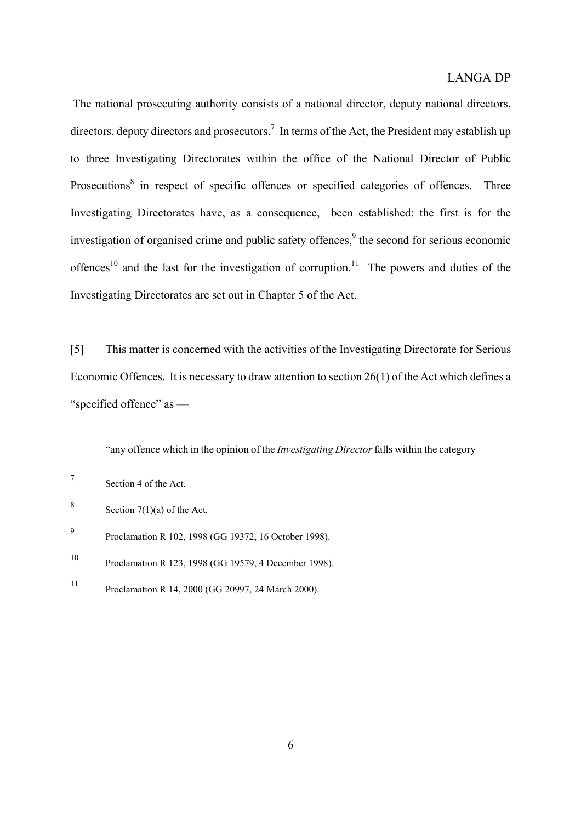The national prosecuting authority consists of a national director, deputy national directors, directors, deputy directors and prosecutors.<sup>[7](#page-5-0)</sup> In terms of the Act, the President may establish up to three Investigating Directorates within the office of the National Director of Public Prosecutions<sup>[8](#page-5-1)</sup> in respect of specific offences or specified categories of offences. Three Investigating Directorates have, as a consequence, been established; the first is for the investigation of organised crime and public safety offences, $9$  the second for serious economic offences<sup>10</sup> and the last for the investigation of corruption.<sup>11</sup> The powers and duties of the Investigating Directorates are set out in Chapter 5 of the Act.

[5] This matter is concerned with the activities of the Investigating Directorate for Serious Economic Offences. It is necessary to draw attention to section 26(1) of the Act which defines a "specified offence" as —

"any offence which in the opinion of the *Investigating Director* falls within the category

<span id="page-5-0"></span> $\overline{7}$ Section 4 of the Act.

<span id="page-5-1"></span><sup>8</sup> Section  $7(1)(a)$  of the Act.

<span id="page-5-2"></span><sup>9</sup> Proclamation R 102, 1998 (GG 19372, 16 October 1998).

<span id="page-5-3"></span><sup>10</sup> Proclamation R 123, 1998 (GG 19579, 4 December 1998).

<span id="page-5-4"></span><sup>11</sup> Proclamation R 14, 2000 (GG 20997, 24 March 2000).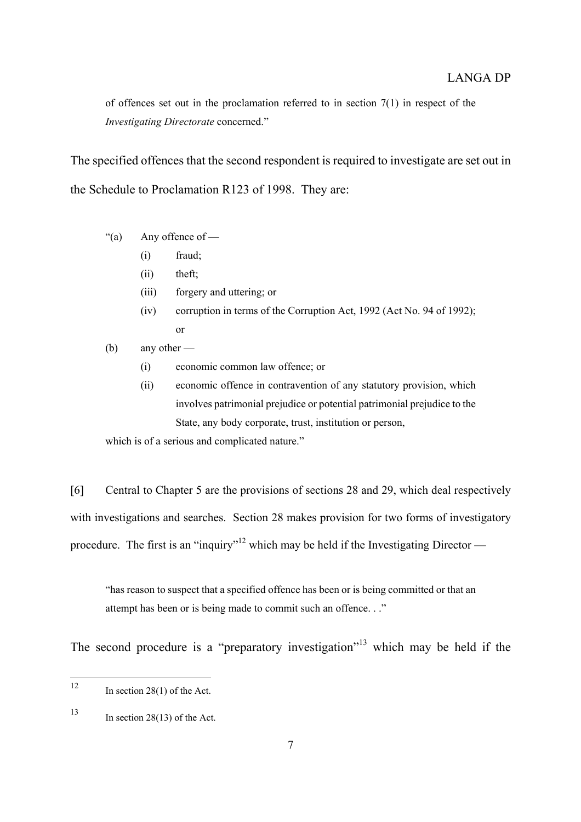of offences set out in the proclamation referred to in section  $7(1)$  in respect of the *Investigating Directorate* concerned."

The specified offences that the second respondent is required to investigate are set out in the Schedule to Proclamation R123 of 1998. They are:

- "(a) Any offence of
	- (i) fraud;
	- (ii) theft;
	- (iii) forgery and uttering; or
	- (iv) corruption in terms of the Corruption Act, 1992 (Act No. 94 of 1992); or
- (b) any other
	- (i) economic common law offence; or
	- (ii) economic offence in contravention of any statutory provision, which involves patrimonial prejudice or potential patrimonial prejudice to the State, any body corporate, trust, institution or person,

which is of a serious and complicated nature."

[6] Central to Chapter 5 are the provisions of sections 28 and 29, which deal respectively with investigations and searches. Section 28 makes provision for two forms of investigatory procedure. The first is an "inquiry"<sup>12</sup> which may be held if the Investigating Director —

"has reason to suspect that a specified offence has been or is being committed or that an attempt has been or is being made to commit such an offence. . ."

The second procedure is a "preparatory investigation"<sup>13</sup> which may be held if the

<span id="page-6-0"></span><sup>12</sup> In section  $28(1)$  of the Act.

<span id="page-6-1"></span> $13$  In section 28(13) of the Act.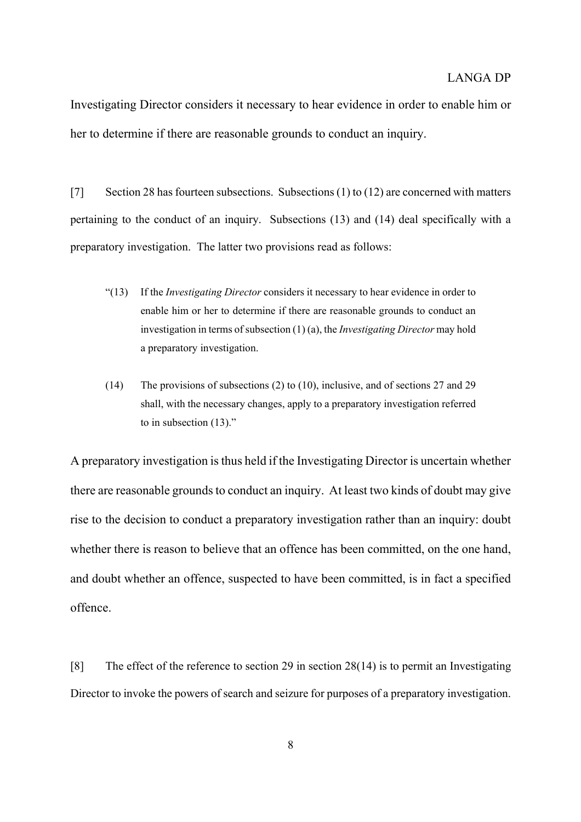Investigating Director considers it necessary to hear evidence in order to enable him or her to determine if there are reasonable grounds to conduct an inquiry.

[7] Section 28 has fourteen subsections. Subsections (1) to (12) are concerned with matters pertaining to the conduct of an inquiry. Subsections (13) and (14) deal specifically with a preparatory investigation. The latter two provisions read as follows:

- "(13) If the *Investigating Director* considers it necessary to hear evidence in order to enable him or her to determine if there are reasonable grounds to conduct an investigation in terms of subsection (1) (a), the *Investigating Director* may hold a preparatory investigation.
- (14) The provisions of subsections (2) to (10), inclusive, and of sections 27 and 29 shall, with the necessary changes, apply to a preparatory investigation referred to in subsection (13)."

A preparatory investigation is thus held if the Investigating Director is uncertain whether there are reasonable grounds to conduct an inquiry. At least two kinds of doubt may give rise to the decision to conduct a preparatory investigation rather than an inquiry: doubt whether there is reason to believe that an offence has been committed, on the one hand, and doubt whether an offence, suspected to have been committed, is in fact a specified offence.

[8] The effect of the reference to section 29 in section 28(14) is to permit an Investigating Director to invoke the powers of search and seizure for purposes of a preparatory investigation.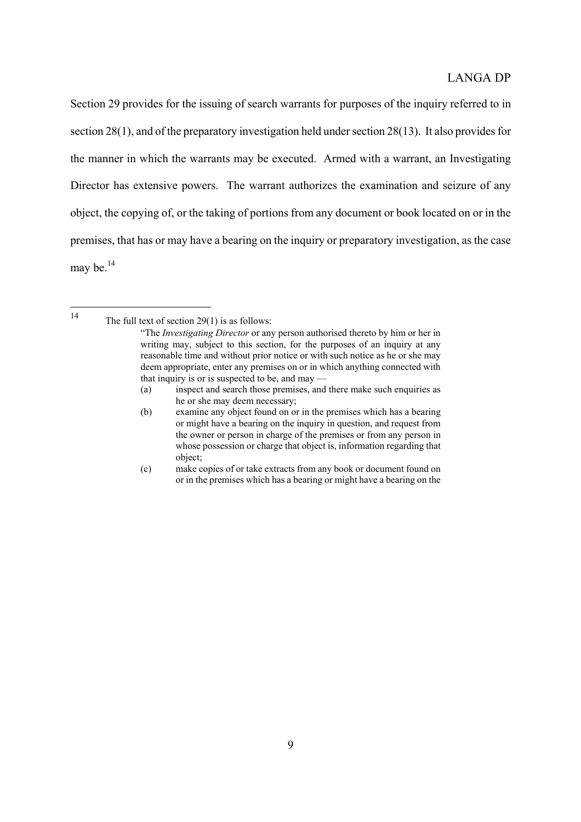Section 29 provides for the issuing of search warrants for purposes of the inquiry referred to in section 28(1), and of the preparatory investigation held under section 28(13). It also provides for the manner in which the warrants may be executed. Armed with a warrant, an Investigating Director has extensive powers. The warrant authorizes the examination and seizure of any object, the copying of, or the taking of portions from any document or book located on or in the premises, that has or may have a bearing on the inquiry or preparatory investigation, as the case may be. $^{14}$  $^{14}$  $^{14}$ 

<span id="page-8-0"></span> $14$ 

The full text of section  $29(1)$  is as follows:

<sup>&</sup>quot;The *Investigating Director* or any person authorised thereto by him or her in writing may, subject to this section, for the purposes of an inquiry at any reasonable time and without prior notice or with such notice as he or she may deem appropriate, enter any premises on or in which anything connected with that inquiry is or is suspected to be, and may —

<sup>(</sup>a) inspect and search those premises, and there make such enquiries as he or she may deem necessary;

<sup>(</sup>b) examine any object found on or in the premises which has a bearing or might have a bearing on the inquiry in question, and request from the owner or person in charge of the premises or from any person in whose possession or charge that object is, information regarding that object;

<sup>(</sup>c) make copies of or take extracts from any book or document found on or in the premises which has a bearing or might have a bearing on the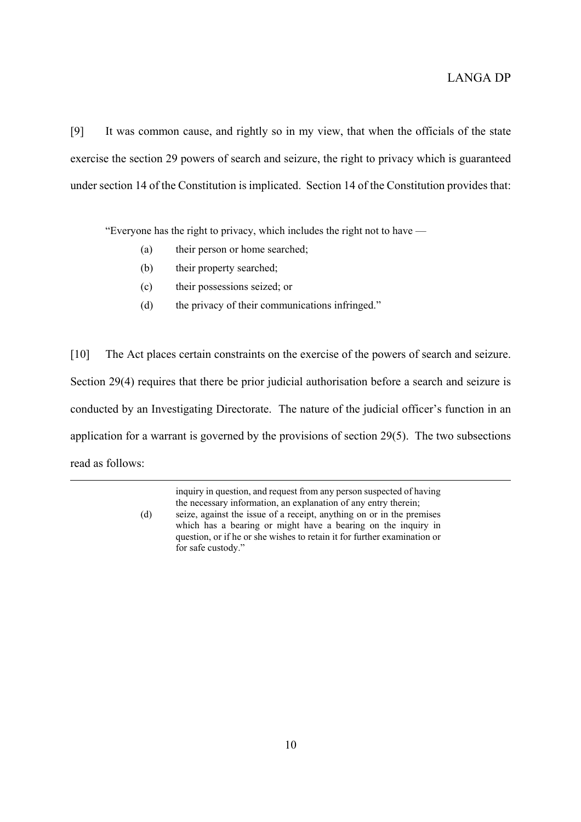[9] It was common cause, and rightly so in my view, that when the officials of the state exercise the section 29 powers of search and seizure, the right to privacy which is guaranteed under section 14 of the Constitution is implicated. Section 14 of the Constitution provides that:

"Everyone has the right to privacy, which includes the right not to have —

- (a) their person or home searched;
- (b) their property searched;
- (c) their possessions seized; or
- (d) the privacy of their communications infringed."

[10] The Act places certain constraints on the exercise of the powers of search and seizure. Section 29(4) requires that there be prior judicial authorisation before a search and seizure is conducted by an Investigating Directorate. The nature of the judicial officer's function in an application for a warrant is governed by the provisions of section 29(5). The two subsections read as follows:

> inquiry in question, and request from any person suspected of having the necessary information, an explanation of any entry therein; (d) seize, against the issue of a receipt, anything on or in the premises which has a bearing or might have a bearing on the inquiry in question, or if he or she wishes to retain it for further examination or for safe custody."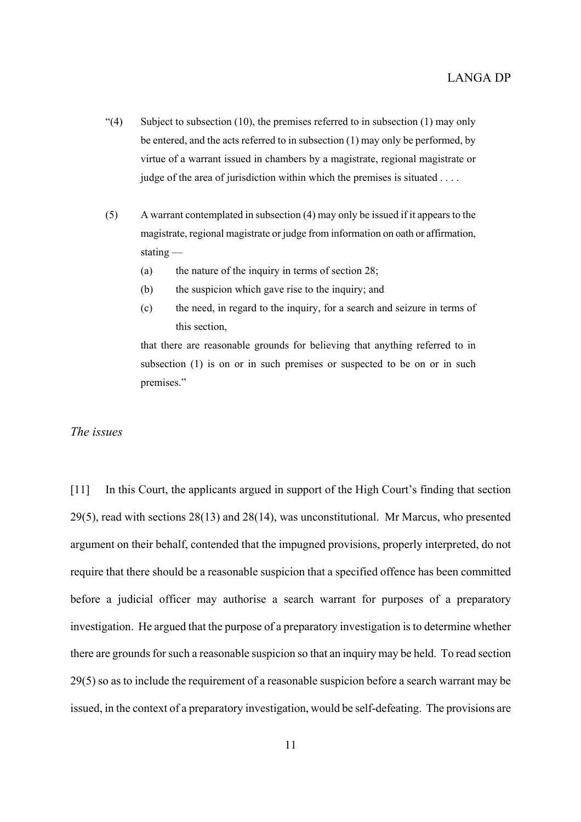- "(4) Subject to subsection (10), the premises referred to in subsection (1) may only be entered, and the acts referred to in subsection (1) may only be performed, by virtue of a warrant issued in chambers by a magistrate, regional magistrate or judge of the area of jurisdiction within which the premises is situated . . . .
- (5) A warrant contemplated in subsection (4) may only be issued if it appears to the magistrate, regional magistrate or judge from information on oath or affirmation, stating —
	- (a) the nature of the inquiry in terms of section 28;
	- (b) the suspicion which gave rise to the inquiry; and
	- (c) the need, in regard to the inquiry, for a search and seizure in terms of this section,

that there are reasonable grounds for believing that anything referred to in subsection (1) is on or in such premises or suspected to be on or in such premises."

*The issues*

[11] In this Court, the applicants argued in support of the High Court's finding that section 29(5), read with sections 28(13) and 28(14), was unconstitutional. Mr Marcus, who presented argument on their behalf, contended that the impugned provisions, properly interpreted, do not require that there should be a reasonable suspicion that a specified offence has been committed before a judicial officer may authorise a search warrant for purposes of a preparatory investigation. He argued that the purpose of a preparatory investigation is to determine whether there are grounds for such a reasonable suspicion so that an inquiry may be held. To read section 29(5) so as to include the requirement of a reasonable suspicion before a search warrant may be issued, in the context of a preparatory investigation, would be self-defeating. The provisions are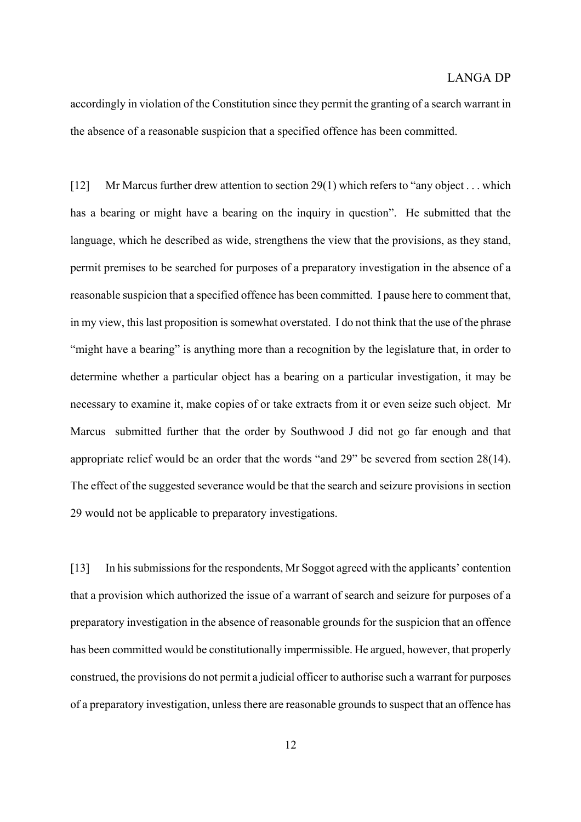accordingly in violation of the Constitution since they permit the granting of a search warrant in the absence of a reasonable suspicion that a specified offence has been committed.

[12] Mr Marcus further drew attention to section 29(1) which refers to "any object . . . which has a bearing or might have a bearing on the inquiry in question". He submitted that the language, which he described as wide, strengthens the view that the provisions, as they stand, permit premises to be searched for purposes of a preparatory investigation in the absence of a reasonable suspicion that a specified offence has been committed. I pause here to comment that, in my view, this last proposition is somewhat overstated. I do not think that the use of the phrase "might have a bearing" is anything more than a recognition by the legislature that, in order to determine whether a particular object has a bearing on a particular investigation, it may be necessary to examine it, make copies of or take extracts from it or even seize such object. Mr Marcus submitted further that the order by Southwood J did not go far enough and that appropriate relief would be an order that the words "and 29" be severed from section 28(14). The effect of the suggested severance would be that the search and seizure provisions in section 29 would not be applicable to preparatory investigations.

[13] In his submissions for the respondents, Mr Soggot agreed with the applicants' contention that a provision which authorized the issue of a warrant of search and seizure for purposes of a preparatory investigation in the absence of reasonable grounds for the suspicion that an offence has been committed would be constitutionally impermissible. He argued, however, that properly construed, the provisions do not permit a judicial officer to authorise such a warrant for purposes of a preparatory investigation, unless there are reasonable grounds to suspect that an offence has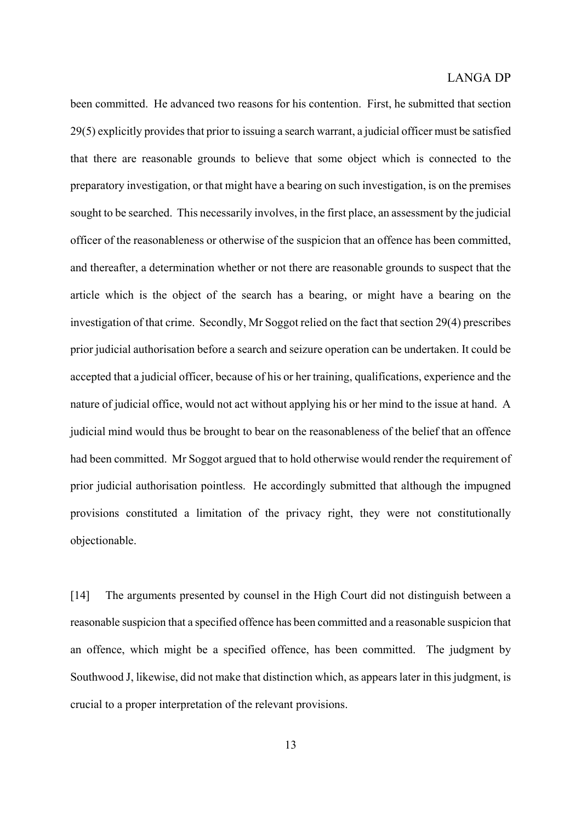been committed. He advanced two reasons for his contention. First, he submitted that section 29(5) explicitly provides that prior to issuing a search warrant, a judicial officer must be satisfied that there are reasonable grounds to believe that some object which is connected to the preparatory investigation, or that might have a bearing on such investigation, is on the premises sought to be searched. This necessarily involves, in the first place, an assessment by the judicial officer of the reasonableness or otherwise of the suspicion that an offence has been committed, and thereafter, a determination whether or not there are reasonable grounds to suspect that the article which is the object of the search has a bearing, or might have a bearing on the investigation of that crime. Secondly, Mr Soggot relied on the fact that section 29(4) prescribes prior judicial authorisation before a search and seizure operation can be undertaken. It could be accepted that a judicial officer, because of his or her training, qualifications, experience and the nature of judicial office, would not act without applying his or her mind to the issue at hand. A judicial mind would thus be brought to bear on the reasonableness of the belief that an offence had been committed. Mr Soggot argued that to hold otherwise would render the requirement of prior judicial authorisation pointless. He accordingly submitted that although the impugned provisions constituted a limitation of the privacy right, they were not constitutionally objectionable.

[14] The arguments presented by counsel in the High Court did not distinguish between a reasonable suspicion that a specified offence has been committed and a reasonable suspicion that an offence, which might be a specified offence, has been committed. The judgment by Southwood J, likewise, did not make that distinction which, as appears later in this judgment, is crucial to a proper interpretation of the relevant provisions.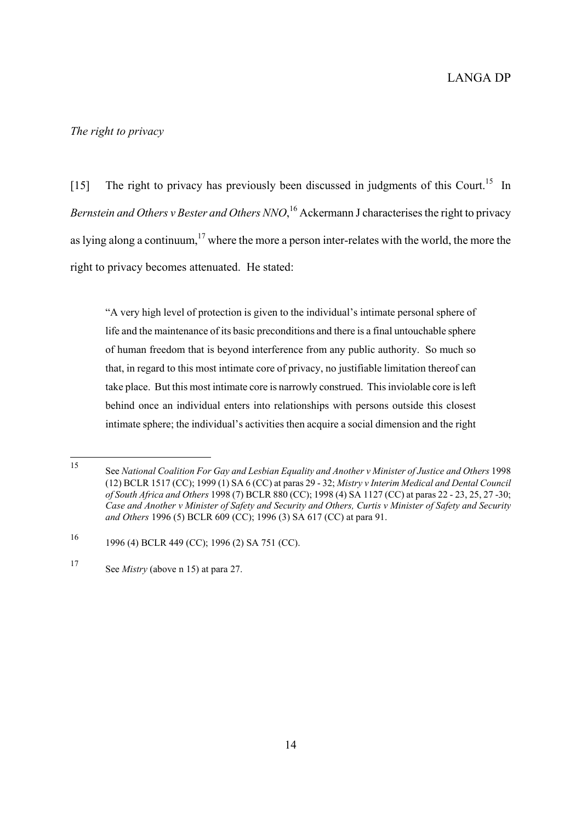#### *The right to privacy*

[15] The right to privacy has previously been discussed in judgments of this Court.<sup>15</sup> In *Bernstein and Others v Bester and Others NNO*, [16 A](#page-13-1)ckermann J characterises the right to privacy as lying along a continuum, $17$  where the more a person inter-relates with the world, the more the right to privacy becomes attenuated. He stated:

"A very high level of protection is given to the individual's intimate personal sphere of life and the maintenance of its basic preconditions and there is a final untouchable sphere of human freedom that is beyond interference from any public authority. So much so that, in regard to this most intimate core of privacy, no justifiable limitation thereof can take place. But this most intimate core is narrowly construed. This inviolable core is left behind once an individual enters into relationships with persons outside this closest intimate sphere; the individual's activities then acquire a social dimension and the right

<span id="page-13-0"></span><sup>15</sup> <sup>15</sup> See *National Coalition For Gay and Lesbian Equality and Another v Minister of Justice and Others* <sup>1998</sup> (12) BCLR 1517 (CC); 1999 (1) SA 6 (CC) at paras 29 - 32; *Mistry v Interim Medical and Dental Council of South Africa and Others* 1998 (7) BCLR 880 (CC); 1998 (4) SA 1127 (CC) at paras 22 - 23, 25, 27 -30; *Case and Another v Minister of Safety and Security and Others, Curtis v Minister of Safety and Security and Others* 1996 (5) BCLR 609 (CC); 1996 (3) SA 617 (CC) at para 91.

<span id="page-13-1"></span><sup>16</sup> 1996 (4) BCLR 449 (CC); 1996 (2) SA 751 (CC).

<span id="page-13-2"></span><sup>17</sup> See *Mistry* (above n 15) at para 27.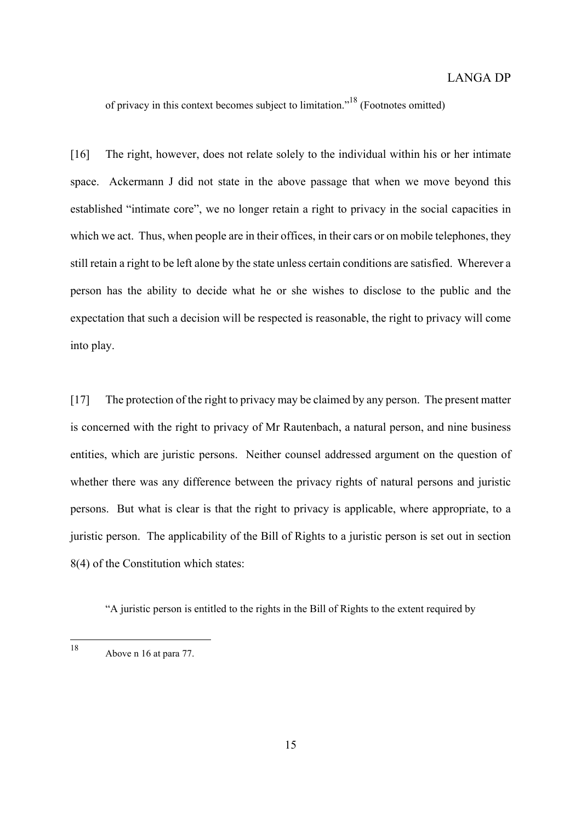of privacy in this context becomes subject to limitation."[18 \(](#page-14-0)Footnotes omitted)

[16] The right, however, does not relate solely to the individual within his or her intimate space. Ackermann J did not state in the above passage that when we move beyond this established "intimate core", we no longer retain a right to privacy in the social capacities in which we act. Thus, when people are in their offices, in their cars or on mobile telephones, they still retain a right to be left alone by the state unless certain conditions are satisfied. Wherever a person has the ability to decide what he or she wishes to disclose to the public and the expectation that such a decision will be respected is reasonable, the right to privacy will come into play.

[17] The protection of the right to privacy may be claimed by any person. The present matter is concerned with the right to privacy of Mr Rautenbach, a natural person, and nine business entities, which are juristic persons. Neither counsel addressed argument on the question of whether there was any difference between the privacy rights of natural persons and juristic persons. But what is clear is that the right to privacy is applicable, where appropriate, to a juristic person. The applicability of the Bill of Rights to a juristic person is set out in section 8(4) of the Constitution which states:

"A juristic person is entitled to the rights in the Bill of Rights to the extent required by

<span id="page-14-0"></span><sup>18</sup> Above n 16 at para 77.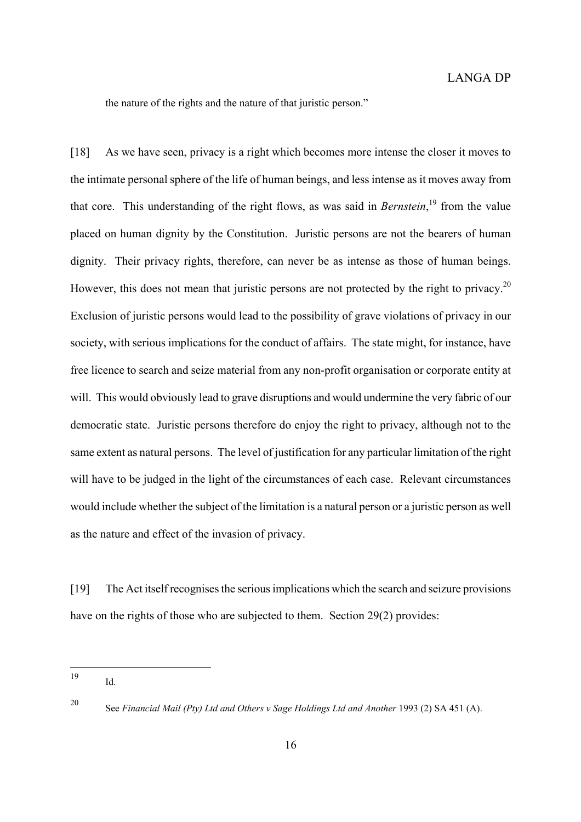the nature of the rights and the nature of that juristic person."

[18] As we have seen, privacy is a right which becomes more intense the closer it moves to the intimate personal sphere of the life of human beings, and less intense as it moves away from that core. This understanding of the right flows, as was said in *Bernstein*, [19](#page-15-0) from the value placed on human dignity by the Constitution. Juristic persons are not the bearers of human dignity. Their privacy rights, therefore, can never be as intense as those of human beings. However, this does not mean that juristic persons are not protected by the right to privacy.<sup>20</sup> Exclusion of juristic persons would lead to the possibility of grave violations of privacy in our society, with serious implications for the conduct of affairs. The state might, for instance, have free licence to search and seize material from any non-profit organisation or corporate entity at will. This would obviously lead to grave disruptions and would undermine the very fabric of our democratic state. Juristic persons therefore do enjoy the right to privacy, although not to the same extent as natural persons. The level of justification for any particular limitation of the right will have to be judged in the light of the circumstances of each case. Relevant circumstances would include whether the subject of the limitation is a natural person or a juristic person as well as the nature and effect of the invasion of privacy.

[19] The Act itself recognises the serious implications which the search and seizure provisions have on the rights of those who are subjected to them. Section 29(2) provides:

<span id="page-15-1"></span><sup>20</sup> See *Financial Mail (Pty) Ltd and Others v Sage Holdings Ltd and Another* 1993 (2) SA 451 (A).

<span id="page-15-0"></span><sup>19</sup>  $Id$ .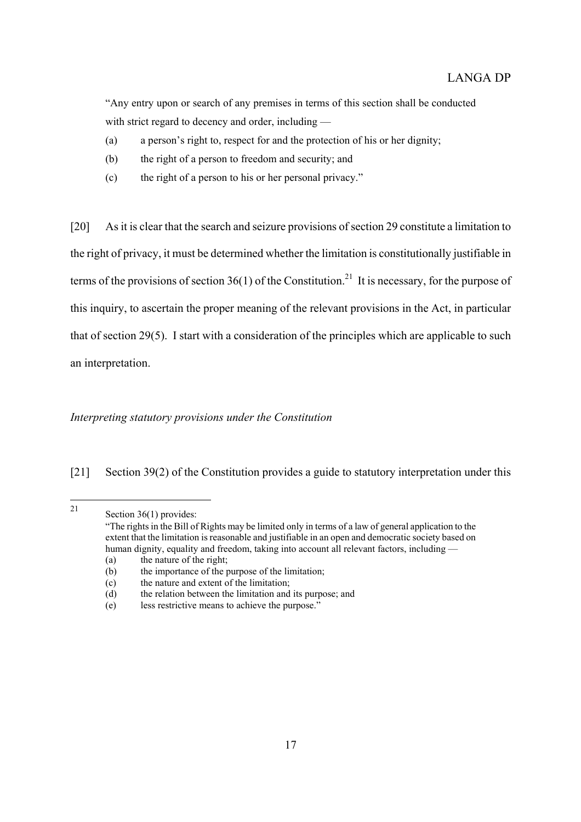"Any entry upon or search of any premises in terms of this section shall be conducted with strict regard to decency and order, including —

- (a) a person's right to, respect for and the protection of his or her dignity;
- (b) the right of a person to freedom and security; and
- (c) the right of a person to his or her personal privacy."

[20] As it is clear that the search and seizure provisions of section 29 constitute a limitation to the right of privacy, it must be determined whether the limitation is constitutionally justifiable in terms of the provisions of section 36(1) of the Constitution.<sup>21</sup> It is necessary, for the purpose of this inquiry, to ascertain the proper meaning of the relevant provisions in the Act, in particular that of section 29(5). I start with a consideration of the principles which are applicable to such an interpretation.

# *Interpreting statutory provisions under the Constitution*

# [21] Section 39(2) of the Constitution provides a guide to statutory interpretation under this

<span id="page-16-0"></span> $21$ Section  $36(1)$  provides:

<sup>&</sup>quot;The rights in the Bill of Rights may be limited only in terms of a law of general application to the extent that the limitation is reasonable and justifiable in an open and democratic society based on human dignity, equality and freedom, taking into account all relevant factors, including — (a) the nature of the right;

<sup>(</sup>b) the importance of the purpose of the limitation;

<sup>(</sup>c) the nature and extent of the limitation;

<sup>(</sup>d) the relation between the limitation and its purpose; and

<sup>(</sup>e) less restrictive means to achieve the purpose."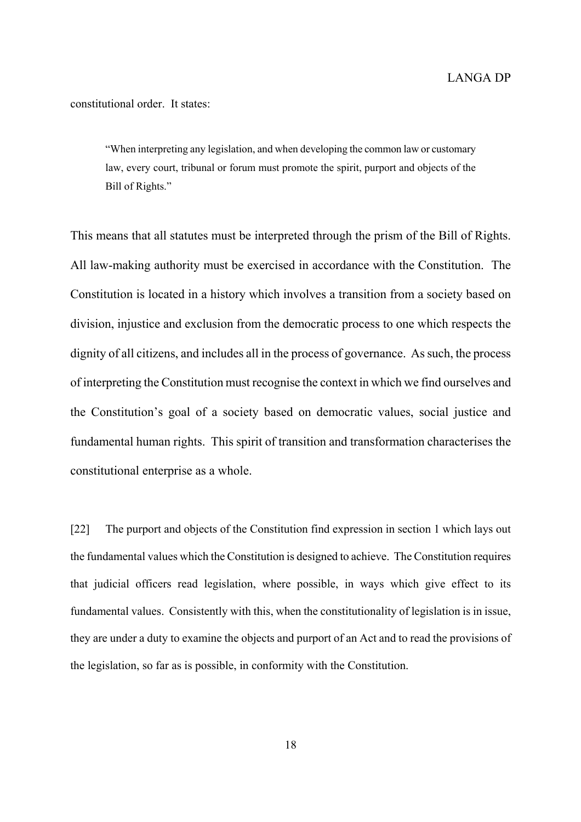constitutional order. It states:

"When interpreting any legislation, and when developing the common law or customary law, every court, tribunal or forum must promote the spirit, purport and objects of the Bill of Rights."

This means that all statutes must be interpreted through the prism of the Bill of Rights. All law-making authority must be exercised in accordance with the Constitution. The Constitution is located in a history which involves a transition from a society based on division, injustice and exclusion from the democratic process to one which respects the dignity of all citizens, and includes all in the process of governance. As such, the process of interpreting the Constitution must recognise the context in which we find ourselves and the Constitution's goal of a society based on democratic values, social justice and fundamental human rights. This spirit of transition and transformation characterises the constitutional enterprise as a whole.

[22] The purport and objects of the Constitution find expression in section 1 which lays out the fundamental values which the Constitution is designed to achieve. The Constitution requires that judicial officers read legislation, where possible, in ways which give effect to its fundamental values. Consistently with this, when the constitutionality of legislation is in issue, they are under a duty to examine the objects and purport of an Act and to read the provisions of the legislation, so far as is possible, in conformity with the Constitution.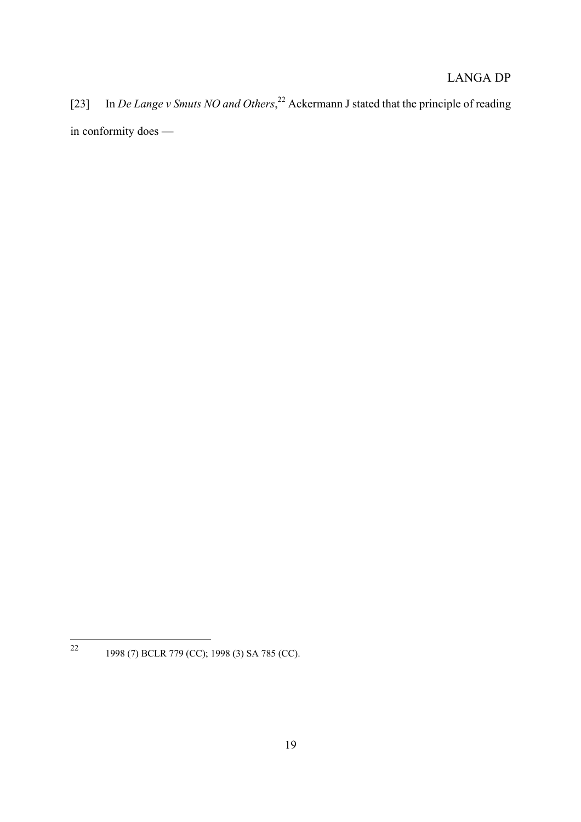[23] In *De Lange v Smuts NO and Others*, [22](#page-18-0) Ackermann J stated that the principle of reading in conformity does —

<span id="page-18-0"></span> $\overline{22}$ <sup>22</sup> 1998 (7) BCLR 779 (CC); 1998 (3) SA 785 (CC).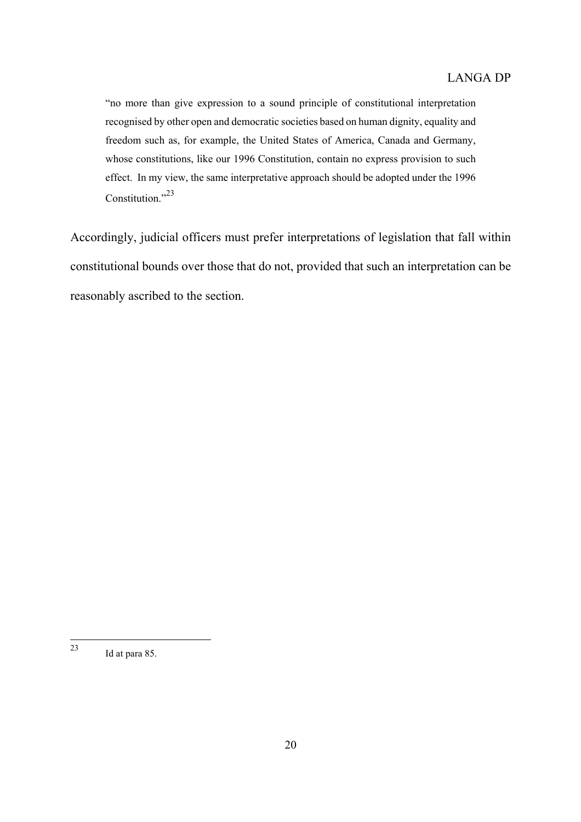"no more than give expression to a sound principle of constitutional interpretation recognised by other open and democratic societies based on human dignity, equality and freedom such as, for example, the United States of America, Canada and Germany, whose constitutions, like our 1996 Constitution, contain no express provision to such effect. In my view, the same interpretative approach should be adopted under the 1996 Constitution."<sup>23</sup>

Accordingly, judicial officers must prefer interpretations of legislation that fall within constitutional bounds over those that do not, provided that such an interpretation can be reasonably ascribed to the section.

<span id="page-19-0"></span><sup>23</sup> Id at para 85.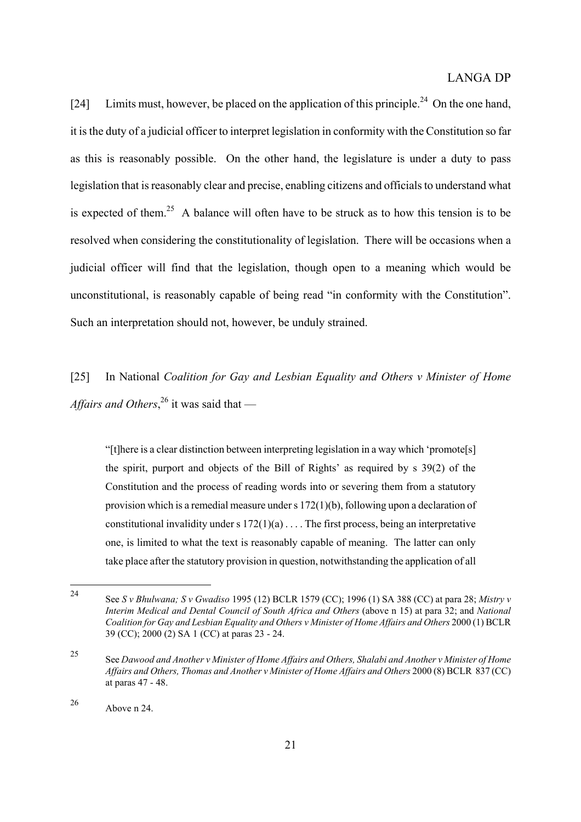[24] Limits must, however, be placed on the application of this principle.<sup>24</sup> On the one hand, it is the duty of a judicial officer to interpret legislation in conformity with the Constitution so far as this is reasonably possible. On the other hand, the legislature is under a duty to pass legislation that is reasonably clear and precise, enabling citizens and officials to understand what is expected of them.<sup>25</sup> A balance will often have to be struck as to how this tension is to be resolved when considering the constitutionality of legislation. There will be occasions when a judicial officer will find that the legislation, though open to a meaning which would be unconstitutional, is reasonably capable of being read "in conformity with the Constitution". Such an interpretation should not, however, be unduly strained.

[25] In National *Coalition for Gay and Lesbian Equality and Others v Minister of Home Affairs and Others*, [26](#page-20-2) it was said that —

"[t]here is a clear distinction between interpreting legislation in a way which 'promote[s] the spirit, purport and objects of the Bill of Rights' as required by s 39(2) of the Constitution and the process of reading words into or severing them from a statutory provision which is a remedial measure under s 172(1)(b), following upon a declaration of constitutional invalidity under s  $172(1)(a)$ ... The first process, being an interpretative one, is limited to what the text is reasonably capable of meaning. The latter can only take place after the statutory provision in question, notwithstanding the application of all

<span id="page-20-0"></span><sup>24</sup> <sup>24</sup> See *S v Bhulwana; S v Gwadiso* 1995 (12) BCLR 1579 (CC); 1996 (1) SA 388 (CC) at para 28; *Mistry v Interim Medical and Dental Council of South Africa and Others* (above n 15) at para 32; and *National Coalition for Gay and Lesbian Equality and Others v Minister of Home Affairs and Others* 2000 (1) BCLR 39 (CC); 2000 (2) SA 1 (CC) at paras 23 - 24.

<span id="page-20-1"></span><sup>25</sup> See *Dawood and Another v Minister of Home Affairs and Others, Shalabi and Another v Minister of Home Affairs and Others, Thomas and Another v Minister of Home Affairs and Others* 2000 (8) BCLR 837 (CC) at paras 47 - 48.

<span id="page-20-2"></span><sup>26</sup> Above n 24.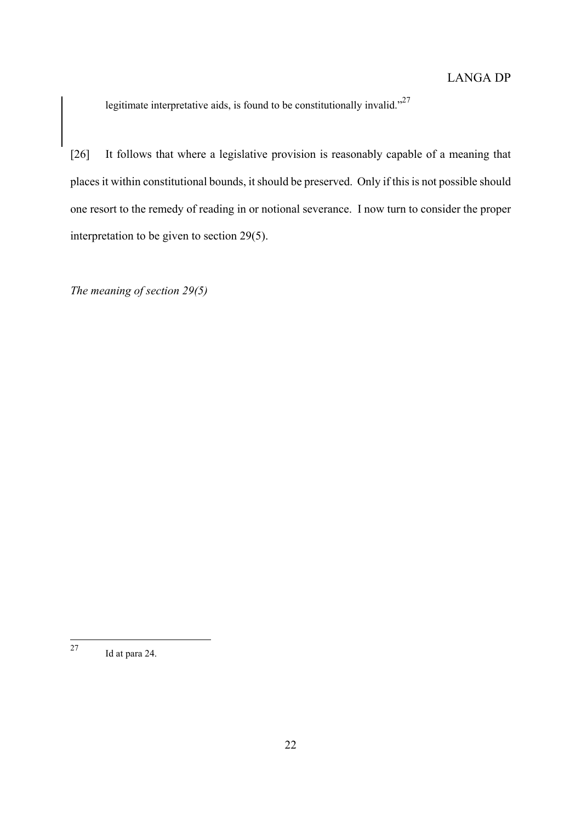legitimate interpretative aids, is found to be constitutionally invalid."<sup>[27](#page-21-0)</sup>

[26] It follows that where a legislative provision is reasonably capable of a meaning that places it within constitutional bounds, it should be preserved. Only if this is not possible should one resort to the remedy of reading in or notional severance. I now turn to consider the proper interpretation to be given to section 29(5).

*The meaning of section 29(5)* 

<span id="page-21-0"></span><sup>27</sup> Id at para 24.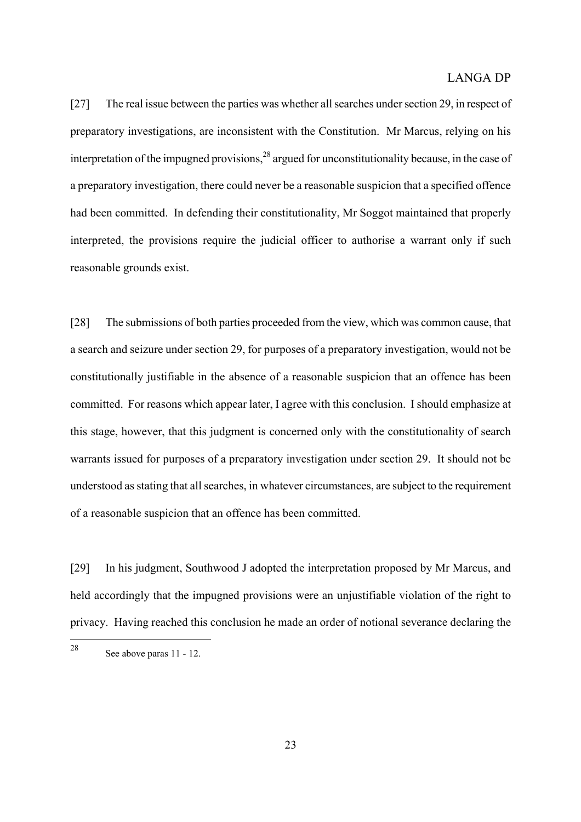[27] The real issue between the parties was whether all searches under section 29, in respect of preparatory investigations, are inconsistent with the Constitution. Mr Marcus, relying on his interpretation of the impugned provisions,  $28$  argued for unconstitutionality because, in the case of a preparatory investigation, there could never be a reasonable suspicion that a specified offence had been committed. In defending their constitutionality, Mr Soggot maintained that properly interpreted, the provisions require the judicial officer to authorise a warrant only if such reasonable grounds exist.

[28] The submissions of both parties proceeded from the view, which was common cause, that a search and seizure under section 29, for purposes of a preparatory investigation, would not be constitutionally justifiable in the absence of a reasonable suspicion that an offence has been committed. For reasons which appear later, I agree with this conclusion. I should emphasize at this stage, however, that this judgment is concerned only with the constitutionality of search warrants issued for purposes of a preparatory investigation under section 29. It should not be understood as stating that all searches, in whatever circumstances, are subject to the requirement of a reasonable suspicion that an offence has been committed.

[29] In his judgment, Southwood J adopted the interpretation proposed by Mr Marcus, and held accordingly that the impugned provisions were an unjustifiable violation of the right to privacy. Having reached this conclusion he made an order of notional severance declaring the

<span id="page-22-0"></span><sup>28</sup> See above paras 11 - 12.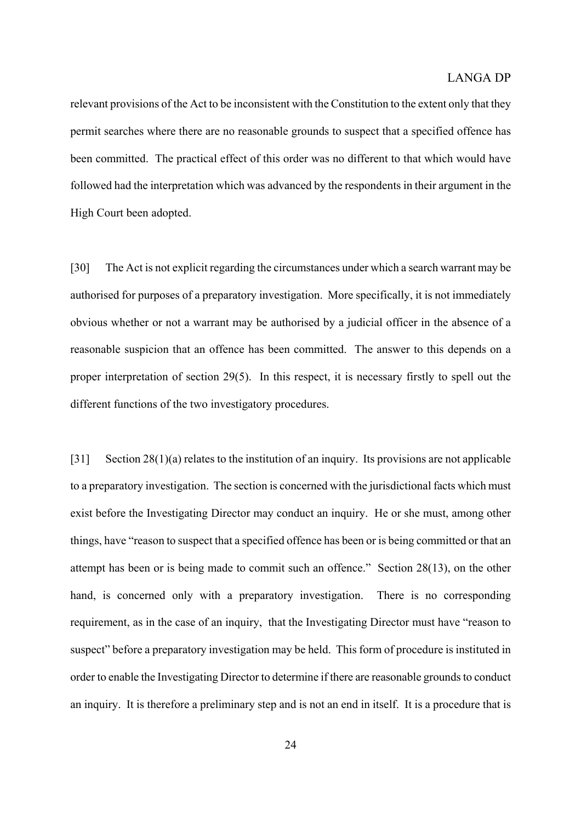relevant provisions of the Act to be inconsistent with the Constitution to the extent only that they permit searches where there are no reasonable grounds to suspect that a specified offence has been committed. The practical effect of this order was no different to that which would have followed had the interpretation which was advanced by the respondents in their argument in the High Court been adopted.

[30] The Act is not explicit regarding the circumstances under which a search warrant may be authorised for purposes of a preparatory investigation. More specifically, it is not immediately obvious whether or not a warrant may be authorised by a judicial officer in the absence of a reasonable suspicion that an offence has been committed. The answer to this depends on a proper interpretation of section 29(5). In this respect, it is necessary firstly to spell out the different functions of the two investigatory procedures.

[31] Section 28(1)(a) relates to the institution of an inquiry. Its provisions are not applicable to a preparatory investigation. The section is concerned with the jurisdictional facts which must exist before the Investigating Director may conduct an inquiry. He or she must, among other things, have "reason to suspect that a specified offence has been or is being committed or that an attempt has been or is being made to commit such an offence." Section 28(13), on the other hand, is concerned only with a preparatory investigation. There is no corresponding requirement, as in the case of an inquiry, that the Investigating Director must have "reason to suspect" before a preparatory investigation may be held. This form of procedure is instituted in order to enable the Investigating Director to determine if there are reasonable grounds to conduct an inquiry. It is therefore a preliminary step and is not an end in itself. It is a procedure that is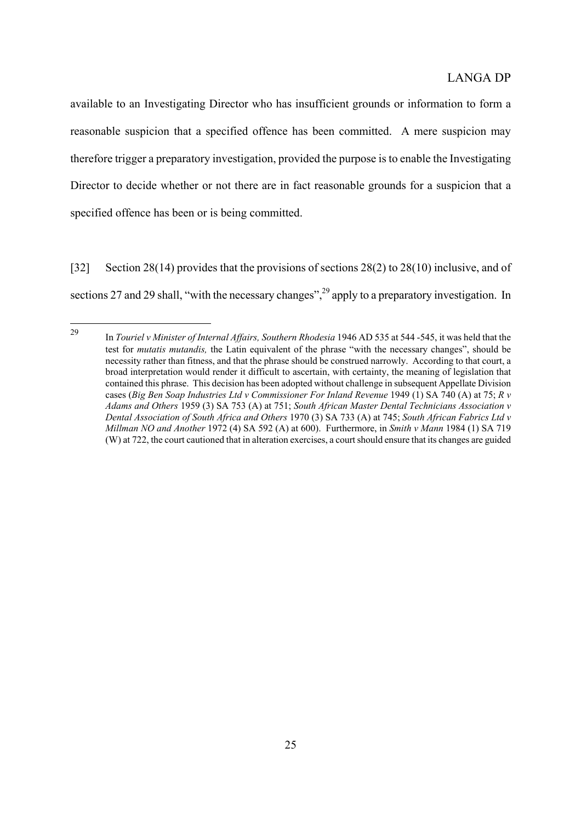available to an Investigating Director who has insufficient grounds or information to form a reasonable suspicion that a specified offence has been committed. A mere suspicion may therefore trigger a preparatory investigation, provided the purpose is to enable the Investigating Director to decide whether or not there are in fact reasonable grounds for a suspicion that a specified offence has been or is being committed.

[32] Section 28(14) provides that the provisions of sections 28(2) to 28(10) inclusive, and of sections 27 and 29 shall, "with the necessary changes",<sup>29</sup> apply to a preparatory investigation. In

<span id="page-24-0"></span><sup>29</sup> <sup>29</sup> In *Touriel v Minister of Internal Affairs, Southern Rhodesia* 1946 AD 535 at 544 -545, it was held that the test for *mutatis mutandis,* the Latin equivalent of the phrase "with the necessary changes", should be necessity rather than fitness, and that the phrase should be construed narrowly. According to that court, a broad interpretation would render it difficult to ascertain, with certainty, the meaning of legislation that contained this phrase. This decision has been adopted without challenge in subsequent Appellate Division cases (*Big Ben Soap Industries Ltd v Commissioner For Inland Revenue* 1949 (1) SA 740 (A) at 75; *R v Adams and Others* 1959 (3) SA 753 (A) at 751; *South African Master Dental Technicians Association v Dental Association of South Africa and Others* 1970 (3) SA 733 (A) at 745; *South African Fabrics Ltd v Millman NO and Another* 1972 (4) SA 592 (A) at 600). Furthermore, in *Smith v Mann* 1984 (1) SA 719 (W) at 722, the court cautioned that in alteration exercises, a court should ensure that its changes are guided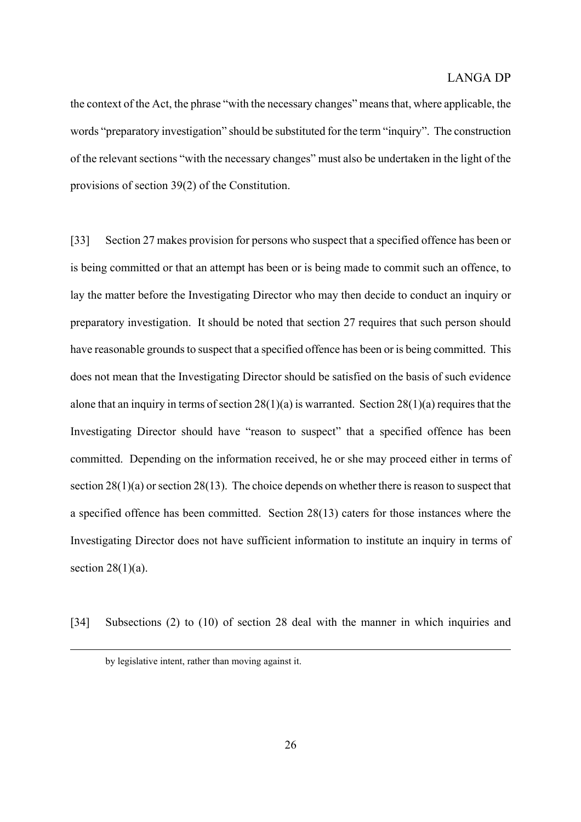the context of the Act, the phrase "with the necessary changes" means that, where applicable, the words "preparatory investigation" should be substituted for the term "inquiry". The construction of the relevant sections "with the necessary changes" must also be undertaken in the light of the provisions of section 39(2) of the Constitution.

[33] Section 27 makes provision for persons who suspect that a specified offence has been or is being committed or that an attempt has been or is being made to commit such an offence, to lay the matter before the Investigating Director who may then decide to conduct an inquiry or preparatory investigation. It should be noted that section 27 requires that such person should have reasonable grounds to suspect that a specified offence has been or is being committed. This does not mean that the Investigating Director should be satisfied on the basis of such evidence alone that an inquiry in terms of section 28(1)(a) is warranted. Section 28(1)(a) requires that the Investigating Director should have "reason to suspect" that a specified offence has been committed. Depending on the information received, he or she may proceed either in terms of section 28(1)(a) or section 28(13). The choice depends on whether there is reason to suspect that a specified offence has been committed. Section 28(13) caters for those instances where the Investigating Director does not have sufficient information to institute an inquiry in terms of section  $28(1)(a)$ .

[34] Subsections (2) to (10) of section 28 deal with the manner in which inquiries and

by legislative intent, rather than moving against it.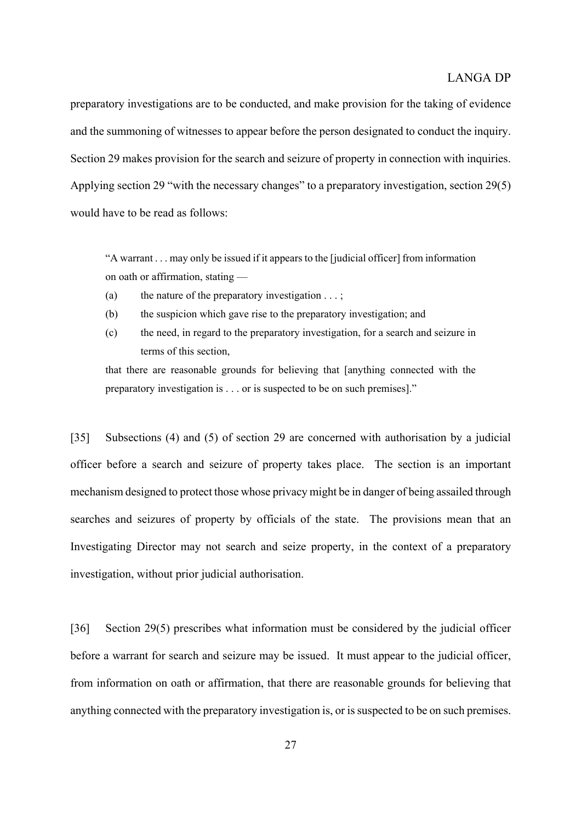preparatory investigations are to be conducted, and make provision for the taking of evidence and the summoning of witnesses to appear before the person designated to conduct the inquiry. Section 29 makes provision for the search and seizure of property in connection with inquiries. Applying section 29 "with the necessary changes" to a preparatory investigation, section 29(5) would have to be read as follows:

"A warrant . . . may only be issued if it appears to the [judicial officer] from information on oath or affirmation, stating —

- (a) the nature of the preparatory investigation  $\dots$ ;
- (b) the suspicion which gave rise to the preparatory investigation; and
- (c) the need, in regard to the preparatory investigation, for a search and seizure in terms of this section,

that there are reasonable grounds for believing that [anything connected with the preparatory investigation is . . . or is suspected to be on such premises]."

[35] Subsections (4) and (5) of section 29 are concerned with authorisation by a judicial officer before a search and seizure of property takes place. The section is an important mechanism designed to protect those whose privacy might be in danger of being assailed through searches and seizures of property by officials of the state. The provisions mean that an Investigating Director may not search and seize property, in the context of a preparatory investigation, without prior judicial authorisation.

[36] Section 29(5) prescribes what information must be considered by the judicial officer before a warrant for search and seizure may be issued. It must appear to the judicial officer, from information on oath or affirmation, that there are reasonable grounds for believing that anything connected with the preparatory investigation is, or is suspected to be on such premises.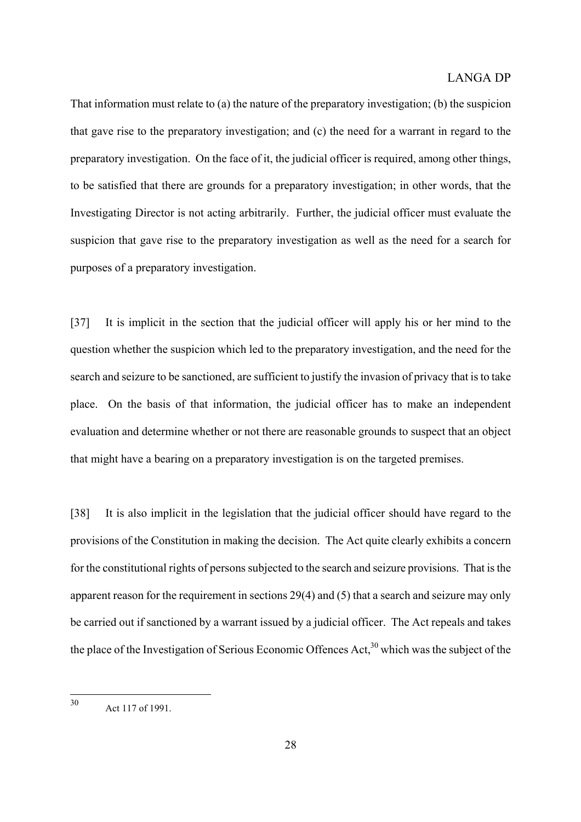That information must relate to (a) the nature of the preparatory investigation; (b) the suspicion that gave rise to the preparatory investigation; and (c) the need for a warrant in regard to the preparatory investigation. On the face of it, the judicial officer is required, among other things, to be satisfied that there are grounds for a preparatory investigation; in other words, that the Investigating Director is not acting arbitrarily. Further, the judicial officer must evaluate the suspicion that gave rise to the preparatory investigation as well as the need for a search for purposes of a preparatory investigation.

[37] It is implicit in the section that the judicial officer will apply his or her mind to the question whether the suspicion which led to the preparatory investigation, and the need for the search and seizure to be sanctioned, are sufficient to justify the invasion of privacy that is to take place. On the basis of that information, the judicial officer has to make an independent evaluation and determine whether or not there are reasonable grounds to suspect that an object that might have a bearing on a preparatory investigation is on the targeted premises.

[38] It is also implicit in the legislation that the judicial officer should have regard to the provisions of the Constitution in making the decision. The Act quite clearly exhibits a concern for the constitutional rights of persons subjected to the search and seizure provisions. That is the apparent reason for the requirement in sections 29(4) and (5) that a search and seizure may only be carried out if sanctioned by a warrant issued by a judicial officer. The Act repeals and takes the place of the Investigation of Serious Economic Offences Act,  $30$  which was the subject of the

<span id="page-27-0"></span> $30$ Act 117 of 1991.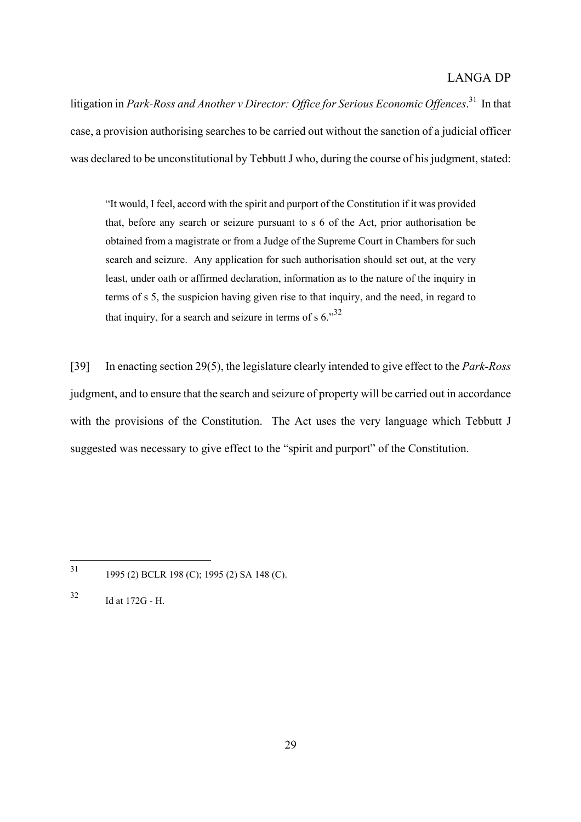litigation in *Park-Ross and Another v Director: Office for Serious Economic Offences*. [31](#page-28-0) In that case, a provision authorising searches to be carried out without the sanction of a judicial officer was declared to be unconstitutional by Tebbutt J who, during the course of his judgment, stated:

"It would, I feel, accord with the spirit and purport of the Constitution if it was provided that, before any search or seizure pursuant to s 6 of the Act, prior authorisation be obtained from a magistrate or from a Judge of the Supreme Court in Chambers for such search and seizure. Any application for such authorisation should set out, at the very least, under oath or affirmed declaration, information as to the nature of the inquiry in terms of s 5, the suspicion having given rise to that inquiry, and the need, in regard to that inquiry, for a search and seizure in terms of s  $6.^{32}$  $6.^{32}$  $6.^{32}$ 

[39] In enacting section 29(5), the legislature clearly intended to give effect to the *Park-Ross* judgment, and to ensure that the search and seizure of property will be carried out in accordance with the provisions of the Constitution. The Act uses the very language which Tebbutt J suggested was necessary to give effect to the "spirit and purport" of the Constitution.

<span id="page-28-0"></span> $31$ <sup>31</sup> 1995 (2) BCLR 198 (C); 1995 (2) SA 148 (C).

<span id="page-28-1"></span> $32$  Id at 172G - H.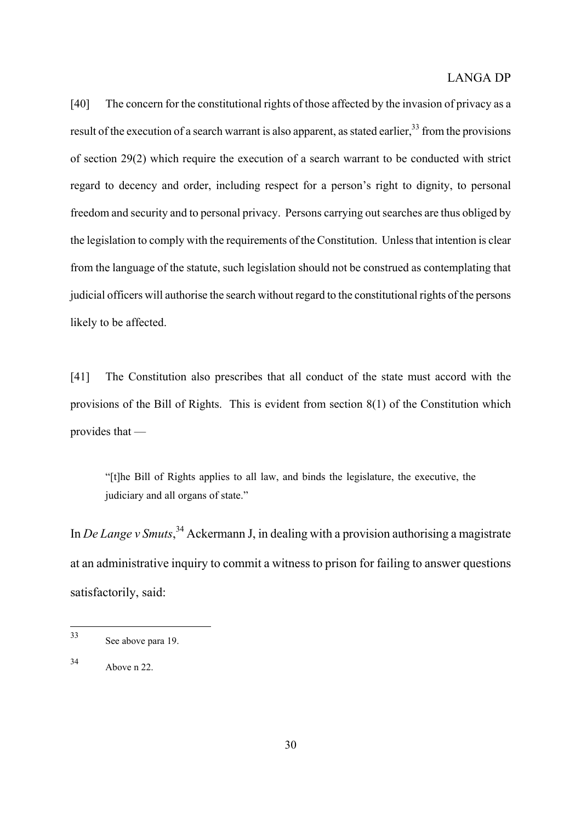[40] The concern for the constitutional rights of those affected by the invasion of privacy as a result of the execution of a search warrant is also apparent, as stated earlier,  $33$  from the provisions of section 29(2) which require the execution of a search warrant to be conducted with strict regard to decency and order, including respect for a person's right to dignity, to personal freedom and security and to personal privacy. Persons carrying out searches are thus obliged by the legislation to comply with the requirements of the Constitution. Unless that intention is clear from the language of the statute, such legislation should not be construed as contemplating that judicial officers will authorise the search without regard to the constitutional rights of the persons likely to be affected.

[41] The Constitution also prescribes that all conduct of the state must accord with the provisions of the Bill of Rights. This is evident from section 8(1) of the Constitution which provides that —

"[t]he Bill of Rights applies to all law, and binds the legislature, the executive, the judiciary and all organs of state."

In *De Lange v Smuts*,<sup>34</sup> Ackermann J, in dealing with a provision authorising a magistrate at an administrative inquiry to commit a witness to prison for failing to answer questions satisfactorily, said:

<span id="page-29-0"></span> $33$ See above para 19.

<span id="page-29-1"></span><sup>34</sup> Above n 22.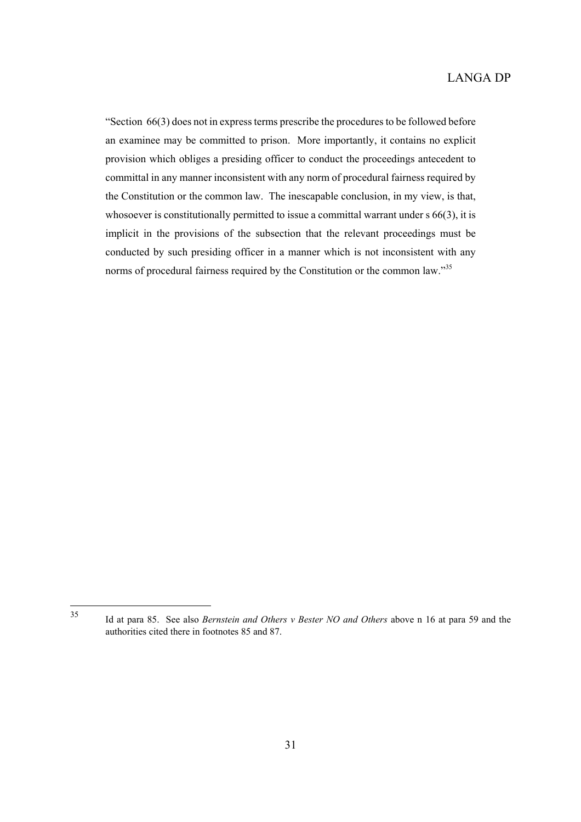"Section 66(3) does not in express terms prescribe the procedures to be followed before an examinee may be committed to prison. More importantly, it contains no explicit provision which obliges a presiding officer to conduct the proceedings antecedent to committal in any manner inconsistent with any norm of procedural fairness required by the Constitution or the common law. The inescapable conclusion, in my view, is that, whosoever is constitutionally permitted to issue a committal warrant under s 66(3), it is implicit in the provisions of the subsection that the relevant proceedings must be conducted by such presiding officer in a manner which is not inconsistent with any norms of procedural fairness required by the Constitution or the common law.["35](#page-30-0)

35

<span id="page-30-0"></span><sup>35</sup> Id at para 85. See also *Bernstein and Others v Bester NO and Others* above n 16 at para 59 and the authorities cited there in footnotes 85 and 87.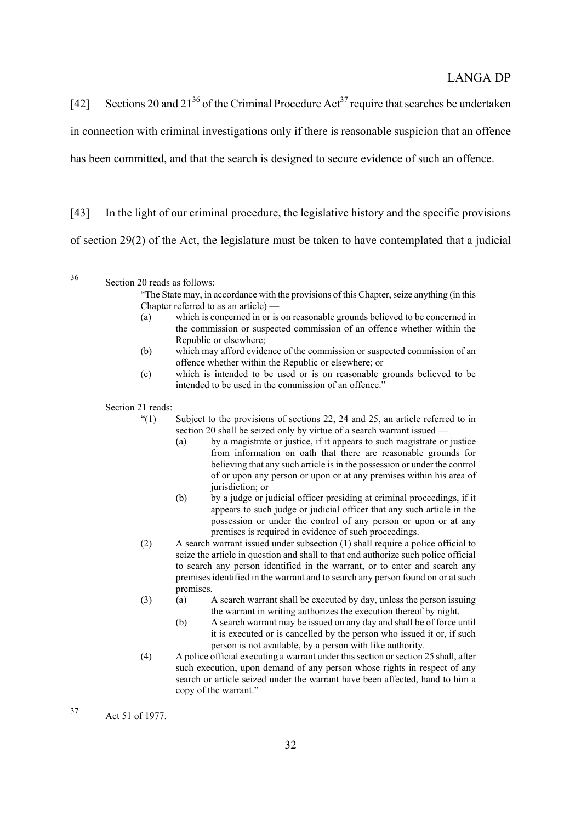[42] Sections 20 and  $21^{36}$  of the Criminal Procedure Act<sup>37</sup> require that searches be undertaken in connection with criminal investigations only if there is reasonable suspicion that an offence has been committed, and that the search is designed to secure evidence of such an offence.

[43] In the light of our criminal procedure, the legislative history and the specific provisions of section 29(2) of the Act, the legislature must be taken to have contemplated that a judicial

<span id="page-31-0"></span>36 Section 20 reads as follows:

- (a) which is concerned in or is on reasonable grounds believed to be concerned in the commission or suspected commission of an offence whether within the Republic or elsewhere;
- (b) which may afford evidence of the commission or suspected commission of an offence whether within the Republic or elsewhere; or
- (c) which is intended to be used or is on reasonable grounds believed to be intended to be used in the commission of an offence."

Section 21 reads:

- $(1)$  Subject to the provisions of sections 22, 24 and 25, an article referred to in section 20 shall be seized only by virtue of a search warrant issued —
	- (a) by a magistrate or justice, if it appears to such magistrate or justice from information on oath that there are reasonable grounds for believing that any such article is in the possession or under the control of or upon any person or upon or at any premises within his area of jurisdiction; or
	- (b) by a judge or judicial officer presiding at criminal proceedings, if it appears to such judge or judicial officer that any such article in the possession or under the control of any person or upon or at any premises is required in evidence of such proceedings.
- (2) A search warrant issued under subsection (1) shall require a police official to seize the article in question and shall to that end authorize such police official to search any person identified in the warrant, or to enter and search any premises identified in the warrant and to search any person found on or at such premises.
- (3) (a) A search warrant shall be executed by day, unless the person issuing the warrant in writing authorizes the execution thereof by night.
	- (b) A search warrant may be issued on any day and shall be of force until it is executed or is cancelled by the person who issued it or, if such person is not available, by a person with like authority.
- (4) A police official executing a warrant under this section or section 25 shall, after such execution, upon demand of any person whose rights in respect of any search or article seized under the warrant have been affected, hand to him a copy of the warrant."

<span id="page-31-1"></span><sup>37</sup> Act 51 of 1977.

<sup>&</sup>quot;The State may, in accordance with the provisions of this Chapter, seize anything (in this Chapter referred to as an article) —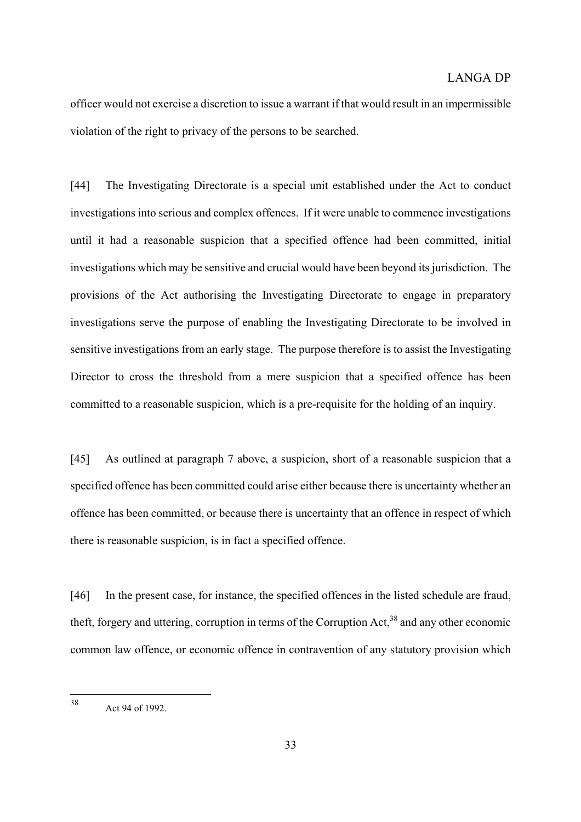officer would not exercise a discretion to issue a warrant if that would result in an impermissible violation of the right to privacy of the persons to be searched.

[44] The Investigating Directorate is a special unit established under the Act to conduct investigations into serious and complex offences. If it were unable to commence investigations until it had a reasonable suspicion that a specified offence had been committed, initial investigations which may be sensitive and crucial would have been beyond its jurisdiction. The provisions of the Act authorising the Investigating Directorate to engage in preparatory investigations serve the purpose of enabling the Investigating Directorate to be involved in sensitive investigations from an early stage. The purpose therefore is to assist the Investigating Director to cross the threshold from a mere suspicion that a specified offence has been committed to a reasonable suspicion, which is a pre-requisite for the holding of an inquiry.

[45] As outlined at paragraph 7 above, a suspicion, short of a reasonable suspicion that a specified offence has been committed could arise either because there is uncertainty whether an offence has been committed, or because there is uncertainty that an offence in respect of which there is reasonable suspicion, is in fact a specified offence.

[46] In the present case, for instance, the specified offences in the listed schedule are fraud, theft, forgery and uttering, corruption in terms of the Corruption Act[,38](#page-32-0) and any other economic common law offence, or economic offence in contravention of any statutory provision which

<span id="page-32-0"></span> $38$ Act 94 of 1992.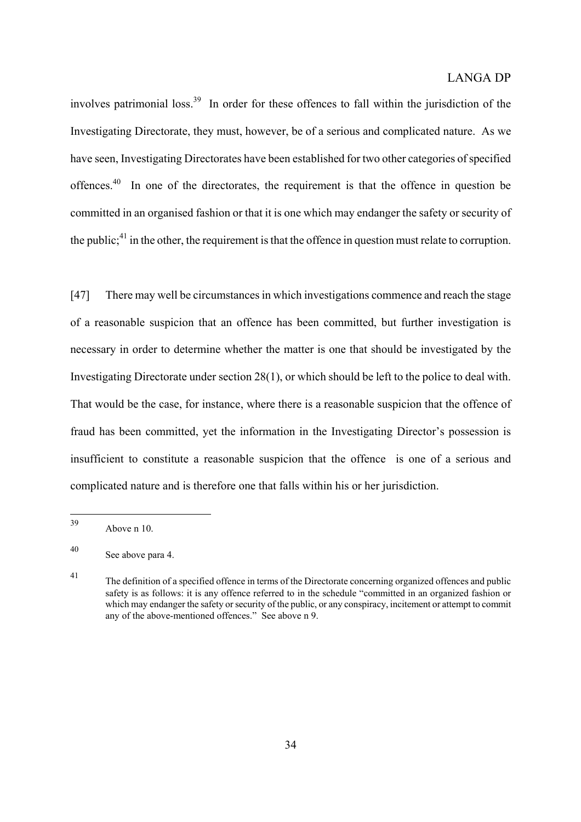involves patrimonial loss.<sup>39</sup> In order for these offences to fall within the jurisdiction of the Investigating Directorate, they must, however, be of a serious and complicated nature. As we have seen, Investigating Directorates have been established for two other categories of specified offences.<sup>40</sup> In one of the directorates, the requirement is that the offence in question be committed in an organised fashion or that it is one which may endanger the safety or security of the public; $41$  in the other, the requirement is that the offence in question must relate to corruption.

[47] There may well be circumstances in which investigations commence and reach the stage of a reasonable suspicion that an offence has been committed, but further investigation is necessary in order to determine whether the matter is one that should be investigated by the Investigating Directorate under section 28(1), or which should be left to the police to deal with. That would be the case, for instance, where there is a reasonable suspicion that the offence of fraud has been committed, yet the information in the Investigating Director's possession is insufficient to constitute a reasonable suspicion that the offence is one of a serious and complicated nature and is therefore one that falls within his or her jurisdiction.

<span id="page-33-0"></span><sup>39</sup> Above n 10.

<span id="page-33-1"></span><sup>40</sup> See above para 4.

<span id="page-33-2"></span><sup>41</sup> The definition of a specified offence in terms of the Directorate concerning organized offences and public safety is as follows: it is any offence referred to in the schedule "committed in an organized fashion or which may endanger the safety or security of the public, or any conspiracy, incitement or attempt to commit any of the above-mentioned offences." See above n 9.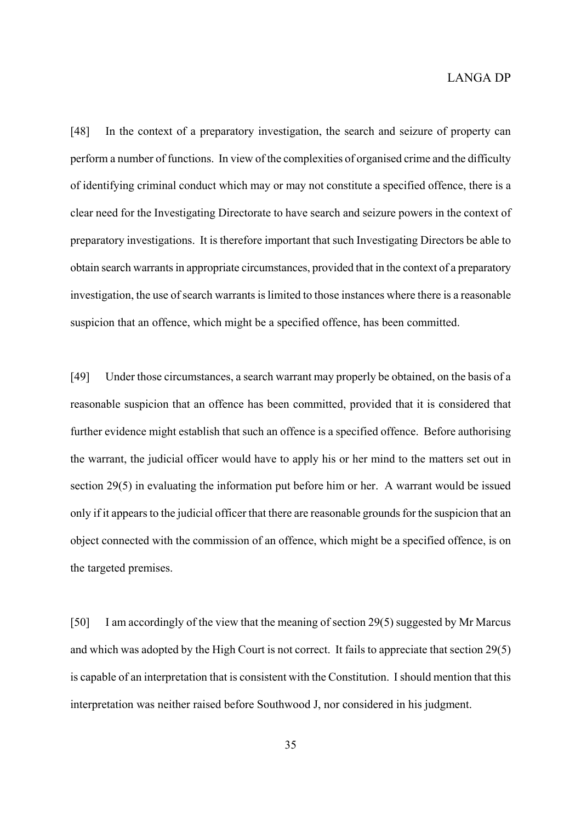[48] In the context of a preparatory investigation, the search and seizure of property can perform a number of functions. In view of the complexities of organised crime and the difficulty of identifying criminal conduct which may or may not constitute a specified offence, there is a clear need for the Investigating Directorate to have search and seizure powers in the context of preparatory investigations. It is therefore important that such Investigating Directors be able to obtain search warrants in appropriate circumstances, provided that in the context of a preparatory investigation, the use of search warrants is limited to those instances where there is a reasonable suspicion that an offence, which might be a specified offence, has been committed.

[49] Under those circumstances, a search warrant may properly be obtained, on the basis of a reasonable suspicion that an offence has been committed, provided that it is considered that further evidence might establish that such an offence is a specified offence. Before authorising the warrant, the judicial officer would have to apply his or her mind to the matters set out in section 29(5) in evaluating the information put before him or her. A warrant would be issued only if it appears to the judicial officer that there are reasonable grounds for the suspicion that an object connected with the commission of an offence, which might be a specified offence, is on the targeted premises.

[50] I am accordingly of the view that the meaning of section 29(5) suggested by Mr Marcus and which was adopted by the High Court is not correct. It fails to appreciate that section 29(5) is capable of an interpretation that is consistent with the Constitution. I should mention that this interpretation was neither raised before Southwood J, nor considered in his judgment.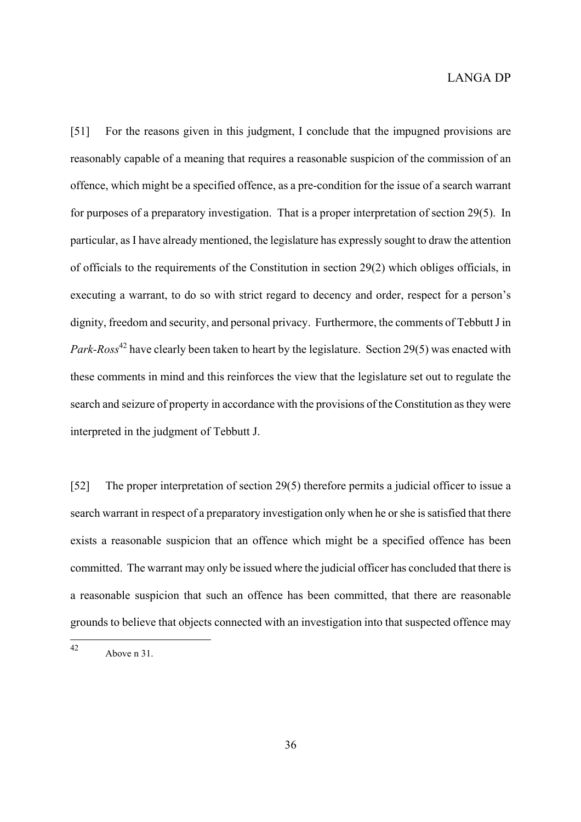[51] For the reasons given in this judgment, I conclude that the impugned provisions are reasonably capable of a meaning that requires a reasonable suspicion of the commission of an offence, which might be a specified offence, as a pre-condition for the issue of a search warrant for purposes of a preparatory investigation. That is a proper interpretation of section 29(5). In particular, as I have already mentioned, the legislature has expressly sought to draw the attention of officials to the requirements of the Constitution in section 29(2) which obliges officials, in executing a warrant, to do so with strict regard to decency and order, respect for a person's dignity, freedom and security, and personal privacy. Furthermore, the comments of Tebbutt J in *Park-Ross*<sup>42</sup> have clearly been taken to heart by the legislature. Section 29(5) was enacted with these comments in mind and this reinforces the view that the legislature set out to regulate the search and seizure of property in accordance with the provisions of the Constitution as they were interpreted in the judgment of Tebbutt J.

[52] The proper interpretation of section 29(5) therefore permits a judicial officer to issue a search warrant in respect of a preparatory investigation only when he or she is satisfied that there exists a reasonable suspicion that an offence which might be a specified offence has been committed. The warrant may only be issued where the judicial officer has concluded that there is a reasonable suspicion that such an offence has been committed, that there are reasonable grounds to believe that objects connected with an investigation into that suspected offence may

<span id="page-35-0"></span> $42<sub>1</sub>$ Above n 31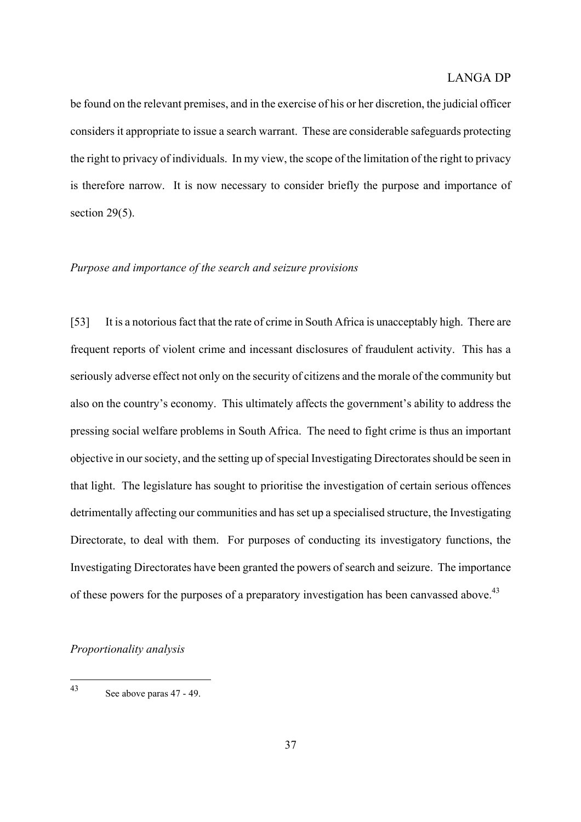be found on the relevant premises, and in the exercise of his or her discretion, the judicial officer considers it appropriate to issue a search warrant. These are considerable safeguards protecting the right to privacy of individuals. In my view, the scope of the limitation of the right to privacy is therefore narrow. It is now necessary to consider briefly the purpose and importance of section  $29(5)$ .

#### *Purpose and importance of the search and seizure provisions*

[53] It is a notorious fact that the rate of crime in South Africa is unacceptably high. There are frequent reports of violent crime and incessant disclosures of fraudulent activity. This has a seriously adverse effect not only on the security of citizens and the morale of the community but also on the country's economy. This ultimately affects the government's ability to address the pressing social welfare problems in South Africa. The need to fight crime is thus an important objective in our society, and the setting up of special Investigating Directorates should be seen in that light. The legislature has sought to prioritise the investigation of certain serious offences detrimentally affecting our communities and has set up a specialised structure, the Investigating Directorate, to deal with them. For purposes of conducting its investigatory functions, the Investigating Directorates have been granted the powers of search and seizure. The importance of these powers for the purposes of a preparatory investigation has been canvassed above.<sup>[43](#page-36-0)</sup>

#### *Proportionality analysis*

<span id="page-36-0"></span> $43$ See above paras 47 - 49.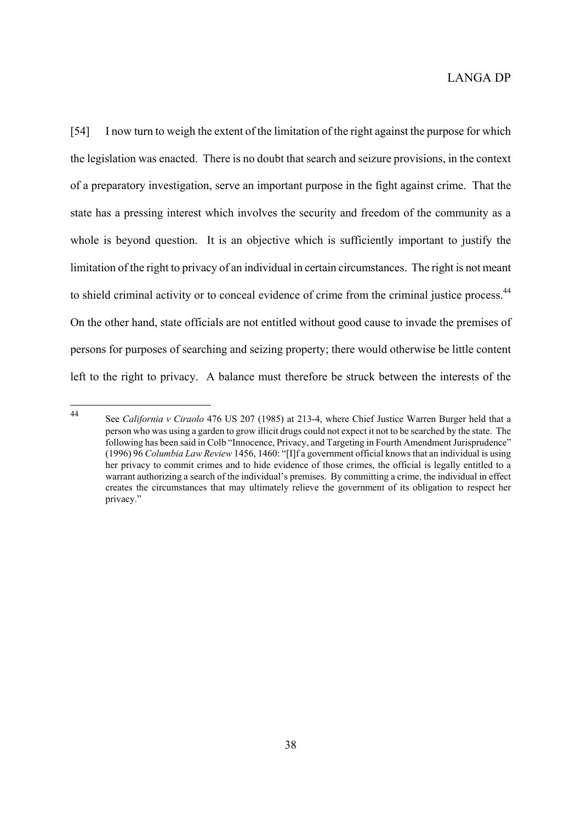[54] I now turn to weigh the extent of the limitation of the right against the purpose for which the legislation was enacted. There is no doubt that search and seizure provisions, in the context of a preparatory investigation, serve an important purpose in the fight against crime. That the state has a pressing interest which involves the security and freedom of the community as a whole is beyond question. It is an objective which is sufficiently important to justify the limitation of the right to privacy of an individual in certain circumstances. The right is not meant to shield criminal activity or to conceal evidence of crime from the criminal justice process.<sup>44</sup> On the other hand, state officials are not entitled without good cause to invade the premises of persons for purposes of searching and seizing property; there would otherwise be little content left to the right to privacy. A balance must therefore be struck between the interests of the

<span id="page-37-0"></span><sup>44</sup> <sup>44</sup> See *California v Ciraolo* 476 US 207 (1985) at 213-4, where Chief Justice Warren Burger held that a person who was using a garden to grow illicit drugs could not expect it not to be searched by the state. The following has been said in Colb "Innocence, Privacy, and Targeting in Fourth Amendment Jurisprudence" (1996) 96 *Columbia Law Review* 1456, 1460: "[I]f a government official knows that an individual is using her privacy to commit crimes and to hide evidence of those crimes, the official is legally entitled to a warrant authorizing a search of the individual's premises. By committing a crime, the individual in effect creates the circumstances that may ultimately relieve the government of its obligation to respect her privacy."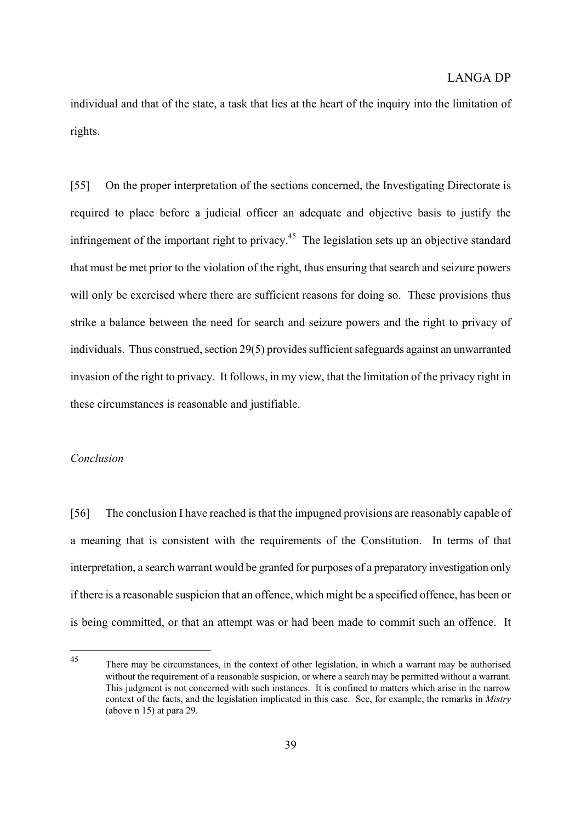individual and that of the state, a task that lies at the heart of the inquiry into the limitation of rights.

[55] On the proper interpretation of the sections concerned, the Investigating Directorate is required to place before a judicial officer an adequate and objective basis to justify the infringement of the important right to privacy.<sup>45</sup> The legislation sets up an objective standard that must be met prior to the violation of the right, thus ensuring that search and seizure powers will only be exercised where there are sufficient reasons for doing so. These provisions thus strike a balance between the need for search and seizure powers and the right to privacy of individuals. Thus construed, section 29(5) provides sufficient safeguards against an unwarranted invasion of the right to privacy. It follows, in my view, that the limitation of the privacy right in these circumstances is reasonable and justifiable.

#### *Conclusion*

[56] The conclusion I have reached is that the impugned provisions are reasonably capable of a meaning that is consistent with the requirements of the Constitution. In terms of that interpretation, a search warrant would be granted for purposes of a preparatory investigation only if there is a reasonable suspicion that an offence, which might be a specified offence, has been or is being committed, or that an attempt was or had been made to commit such an offence. It

<span id="page-38-0"></span> $45$ There may be circumstances, in the context of other legislation, in which a warrant may be authorised without the requirement of a reasonable suspicion, or where a search may be permitted without a warrant. This judgment is not concerned with such instances. It is confined to matters which arise in the narrow context of the facts, and the legislation implicated in this case. See, for example, the remarks in *Mistry*  (above n 15) at para 29.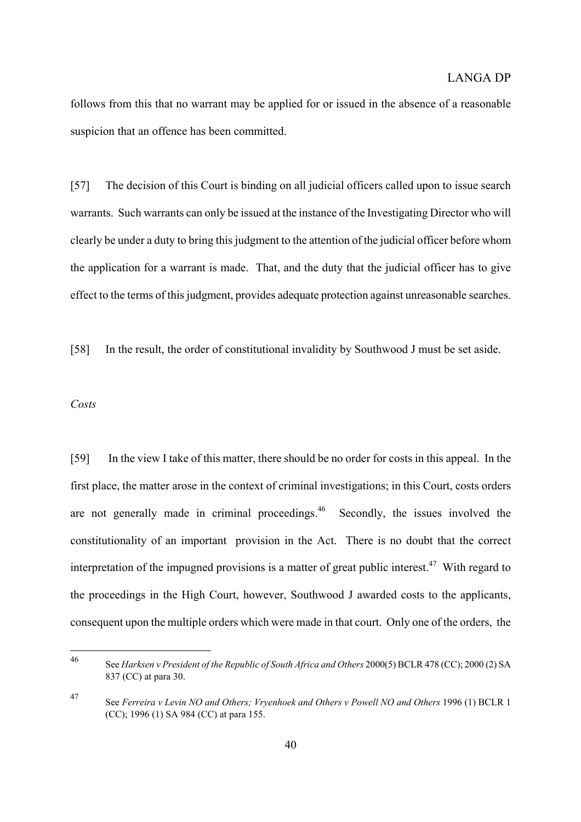follows from this that no warrant may be applied for or issued in the absence of a reasonable suspicion that an offence has been committed.

[57] The decision of this Court is binding on all judicial officers called upon to issue search warrants. Such warrants can only be issued at the instance of the Investigating Director who will clearly be under a duty to bring this judgment to the attention of the judicial officer before whom the application for a warrant is made. That, and the duty that the judicial officer has to give effect to the terms of this judgment, provides adequate protection against unreasonable searches.

[58] In the result, the order of constitutional invalidity by Southwood J must be set aside.

#### *Costs*

[59] In the view I take of this matter, there should be no order for costs in this appeal. In the first place, the matter arose in the context of criminal investigations; in this Court, costs orders are not generally made in criminal proceedings.<sup>46</sup> Secondly, the issues involved the constitutionality of an important provision in the Act. There is no doubt that the correct interpretation of the impugned provisions is a matter of great public interest.<sup>47</sup> With regard to the proceedings in the High Court, however, Southwood J awarded costs to the applicants, consequent upon the multiple orders which were made in that court. Only one of the orders, the

<span id="page-39-0"></span><sup>46</sup> <sup>46</sup> See *Harksen v President of the Republic of South Africa and Others* 2000(5) BCLR 478 (CC); 2000 (2) SA 837 (CC) at para 30.

<span id="page-39-1"></span><sup>47</sup> See *Ferreira v Levin NO and Others; Vryenhoek and Others v Powell NO and Others* 1996 (1) BCLR 1 (CC); 1996 (1) SA 984 (CC) at para 155.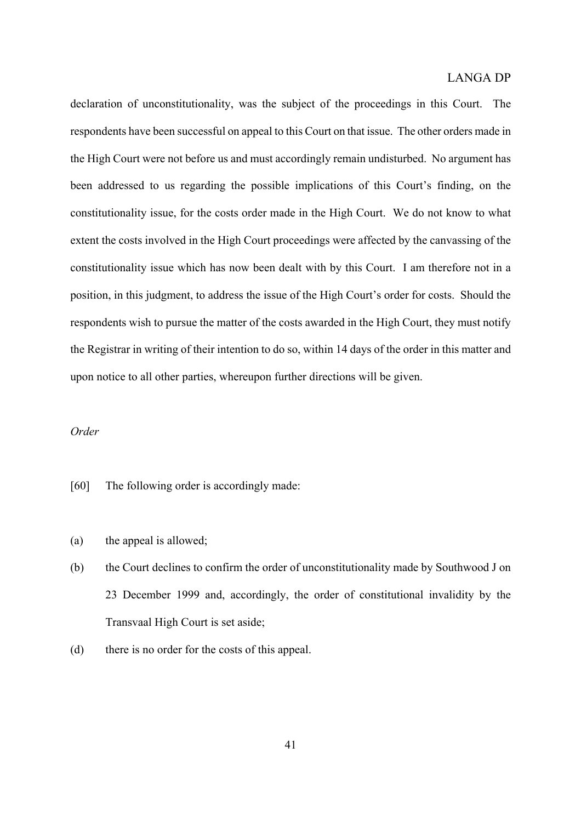declaration of unconstitutionality, was the subject of the proceedings in this Court. The respondents have been successful on appeal to this Court on that issue. The other orders made in the High Court were not before us and must accordingly remain undisturbed. No argument has been addressed to us regarding the possible implications of this Court's finding, on the constitutionality issue, for the costs order made in the High Court. We do not know to what extent the costs involved in the High Court proceedings were affected by the canvassing of the constitutionality issue which has now been dealt with by this Court. I am therefore not in a position, in this judgment, to address the issue of the High Court's order for costs. Should the respondents wish to pursue the matter of the costs awarded in the High Court, they must notify the Registrar in writing of their intention to do so, within 14 days of the order in this matter and upon notice to all other parties, whereupon further directions will be given.

#### *Order*

- [60] The following order is accordingly made:
- (a) the appeal is allowed;
- (b) the Court declines to confirm the order of unconstitutionality made by Southwood J on 23 December 1999 and, accordingly, the order of constitutional invalidity by the Transvaal High Court is set aside;
- (d) there is no order for the costs of this appeal.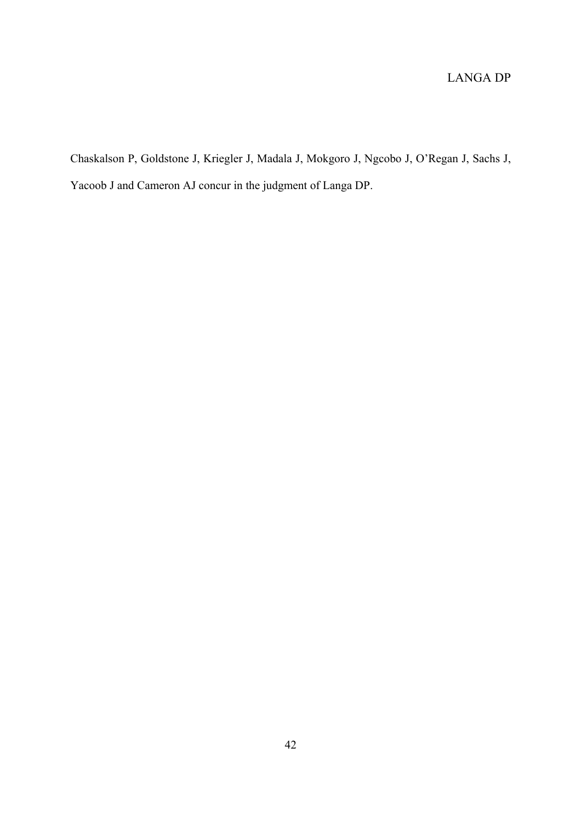Chaskalson P, Goldstone J, Kriegler J, Madala J, Mokgoro J, Ngcobo J, O'Regan J, Sachs J, Yacoob J and Cameron AJ concur in the judgment of Langa DP.